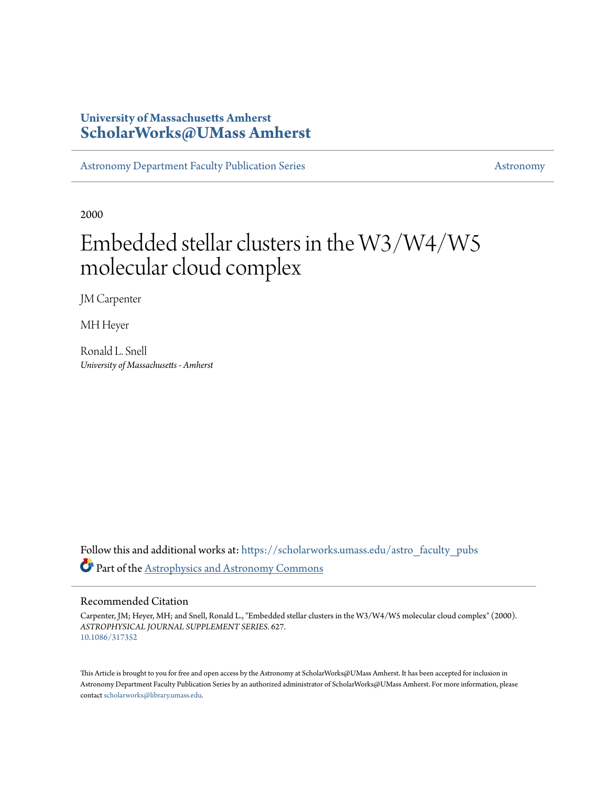# **University of Massachusetts Amherst [ScholarWorks@UMass Amherst](https://scholarworks.umass.edu?utm_source=scholarworks.umass.edu%2Fastro_faculty_pubs%2F627&utm_medium=PDF&utm_campaign=PDFCoverPages)**

[Astronomy Department Faculty Publication Series](https://scholarworks.umass.edu/astro_faculty_pubs?utm_source=scholarworks.umass.edu%2Fastro_faculty_pubs%2F627&utm_medium=PDF&utm_campaign=PDFCoverPages) [Astronomy](https://scholarworks.umass.edu/astro?utm_source=scholarworks.umass.edu%2Fastro_faculty_pubs%2F627&utm_medium=PDF&utm_campaign=PDFCoverPages)

2000

# Embedded stellar clusters in the W3/W4/W5 molecular cloud complex

JM Carpenter

MH Heyer

Ronald L. Snell *University of Massachusetts - Amherst*

Follow this and additional works at: [https://scholarworks.umass.edu/astro\\_faculty\\_pubs](https://scholarworks.umass.edu/astro_faculty_pubs?utm_source=scholarworks.umass.edu%2Fastro_faculty_pubs%2F627&utm_medium=PDF&utm_campaign=PDFCoverPages) Part of the [Astrophysics and Astronomy Commons](http://network.bepress.com/hgg/discipline/123?utm_source=scholarworks.umass.edu%2Fastro_faculty_pubs%2F627&utm_medium=PDF&utm_campaign=PDFCoverPages)

# Recommended Citation

Carpenter, JM; Heyer, MH; and Snell, Ronald L., "Embedded stellar clusters in the W3/W4/W5 molecular cloud complex" (2000). *ASTROPHYSICAL JOURNAL SUPPLEMENT SERIES*. 627. <10.1086/317352>

This Article is brought to you for free and open access by the Astronomy at ScholarWorks@UMass Amherst. It has been accepted for inclusion in Astronomy Department Faculty Publication Series by an authorized administrator of ScholarWorks@UMass Amherst. For more information, please contact [scholarworks@library.umass.edu](mailto:scholarworks@library.umass.edu).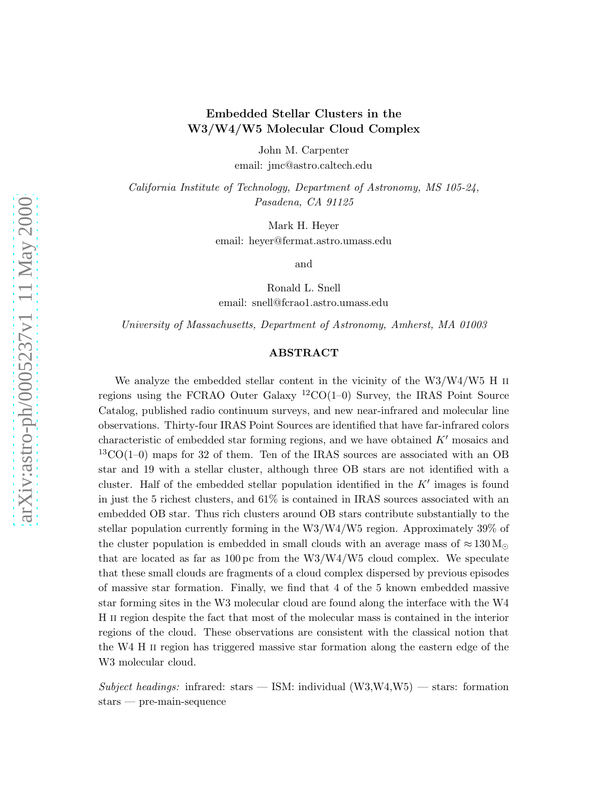# Embedded Stellar Clusters in the W3/W4/W5 Molecular Cloud Complex

John M. Carpenter email: jmc@astro.caltech.edu

California Institute of Technology, Department of Astronomy, MS 105-24, Pasadena, CA 91125

Mark H. Heyer

email: heyer@fermat.astro.umass.edu

and

Ronald L. Snell email: snell@fcrao1.astro.umass.edu

University of Massachusetts, Department of Astronomy, Amherst, MA 01003

## ABSTRACT

We analyze the embedded stellar content in the vicinity of the W3/W4/W5 H II regions using the FCRAO Outer Galaxy  ${}^{12}CO(1-0)$  Survey, the IRAS Point Source Catalog, published radio continuum surveys, and new near-infrared and molecular line observations. Thirty-four IRAS Point Sources are identified that have far-infrared colors characteristic of embedded star forming regions, and we have obtained  $K'$  mosaics and  $13\text{CO}(1-0)$  maps for 32 of them. Ten of the IRAS sources are associated with an OB star and 19 with a stellar cluster, although three OB stars are not identified with a cluster. Half of the embedded stellar population identified in the  $K'$  images is found in just the 5 richest clusters, and 61% is contained in IRAS sources associated with an embedded OB star. Thus rich clusters around OB stars contribute substantially to the stellar population currently forming in the W3/W4/W5 region. Approximately 39% of the cluster population is embedded in small clouds with an average mass of  $\approx 130 \,\mathrm{M}_{\odot}$ that are located as far as  $100 \,\mathrm{pc}$  from the W3/W4/W5 cloud complex. We speculate that these small clouds are fragments of a cloud complex dispersed by previous episodes of massive star formation. Finally, we find that 4 of the 5 known embedded massive star forming sites in the W3 molecular cloud are found along the interface with the W4 H ii region despite the fact that most of the molecular mass is contained in the interior regions of the cloud. These observations are consistent with the classical notion that the W4 H ii region has triggered massive star formation along the eastern edge of the W3 molecular cloud.

Subject headings: infrared: stars  $-$  ISM: individual (W3,W4,W5)  $-$  stars: formation stars — pre-main-sequence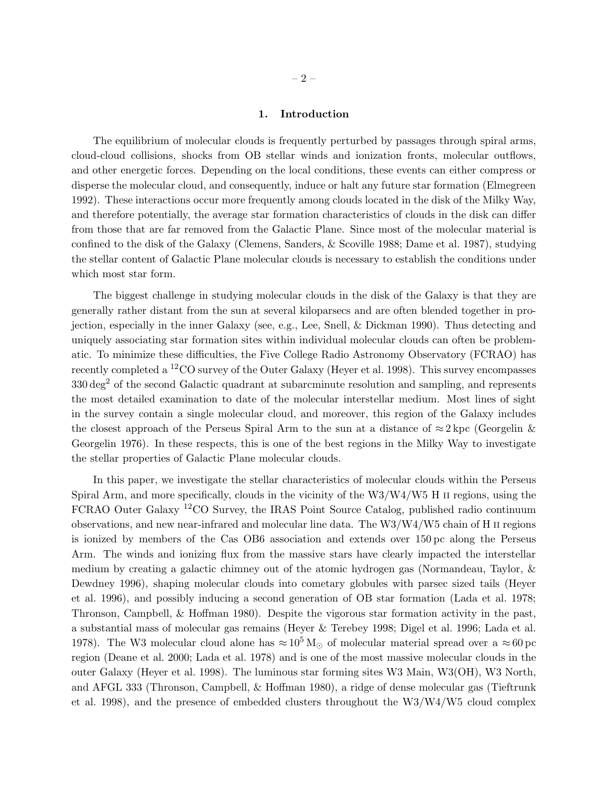#### 1. Introduction

The equilibrium of molecular clouds is frequently perturbed by passages through spiral arms, cloud-cloud collisions, shocks from OB stellar winds and ionization fronts, molecular outflows, and other energetic forces. Depending on the local conditions, these events can either compress or disperse the molecular cloud, and consequently, induce or halt any future star formation (Elmegreen 1992). These interactions occur more frequently among clouds located in the disk of the Milky Way, and therefore potentially, the average star formation characteristics of clouds in the disk can differ from those that are far removed from the Galactic Plane. Since most of the molecular material is confined to the disk of the Galaxy (Clemens, Sanders, & Scoville 1988; Dame et al. 1987), studying the stellar content of Galactic Plane molecular clouds is necessary to establish the conditions under which most star form.

The biggest challenge in studying molecular clouds in the disk of the Galaxy is that they are generally rather distant from the sun at several kiloparsecs and are often blended together in projection, especially in the inner Galaxy (see, e.g., Lee, Snell, & Dickman 1990). Thus detecting and uniquely associating star formation sites within individual molecular clouds can often be problematic. To minimize these difficulties, the Five College Radio Astronomy Observatory (FCRAO) has recently completed a <sup>12</sup>CO survey of the Outer Galaxy (Heyer et al. 1998). This survey encompasses 330 deg<sup>2</sup> of the second Galactic quadrant at subarcminute resolution and sampling, and represents the most detailed examination to date of the molecular interstellar medium. Most lines of sight in the survey contain a single molecular cloud, and moreover, this region of the Galaxy includes the closest approach of the Perseus Spiral Arm to the sun at a distance of  $\approx 2 \text{ kpc}$  (Georgelin  $\&$ Georgelin 1976). In these respects, this is one of the best regions in the Milky Way to investigate the stellar properties of Galactic Plane molecular clouds.

In this paper, we investigate the stellar characteristics of molecular clouds within the Perseus Spiral Arm, and more specifically, clouds in the vicinity of the W3/W4/W5 H II regions, using the FCRAO Outer Galaxy <sup>12</sup>CO Survey, the IRAS Point Source Catalog, published radio continuum observations, and new near-infrared and molecular line data. The W3/W4/W5 chain of H ii regions is ionized by members of the Cas OB6 association and extends over 150 pc along the Perseus Arm. The winds and ionizing flux from the massive stars have clearly impacted the interstellar medium by creating a galactic chimney out of the atomic hydrogen gas (Normandeau, Taylor, & Dewdney 1996), shaping molecular clouds into cometary globules with parsec sized tails (Heyer et al. 1996), and possibly inducing a second generation of OB star formation (Lada et al. 1978; Thronson, Campbell, & Hoffman 1980). Despite the vigorous star formation activity in the past, a substantial mass of molecular gas remains (Heyer & Terebey 1998; Digel et al. 1996; Lada et al. 1978). The W3 molecular cloud alone has  $\approx 10^5 \,\mathrm{M}_{\odot}$  of molecular material spread over a  $\approx 60 \,\mathrm{pc}$ region (Deane et al. 2000; Lada et al. 1978) and is one of the most massive molecular clouds in the outer Galaxy (Heyer et al. 1998). The luminous star forming sites W3 Main, W3(OH), W3 North, and AFGL 333 (Thronson, Campbell, & Hoffman 1980), a ridge of dense molecular gas (Tieftrunk et al. 1998), and the presence of embedded clusters throughout the W3/W4/W5 cloud complex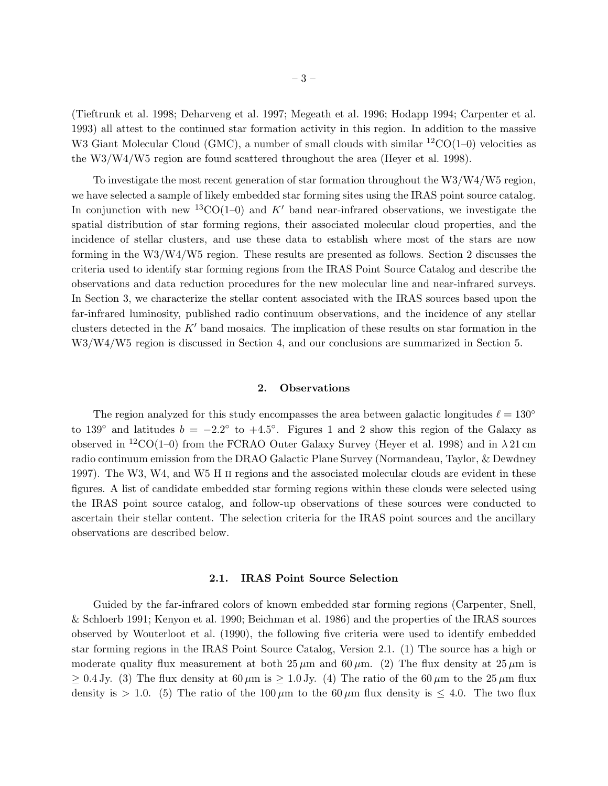(Tieftrunk et al. 1998; Deharveng et al. 1997; Megeath et al. 1996; Hodapp 1994; Carpenter et al. 1993) all attest to the continued star formation activity in this region. In addition to the massive W3 Giant Molecular Cloud (GMC), a number of small clouds with similar  ${}^{12}CO(1-0)$  velocities as the W3/W4/W5 region are found scattered throughout the area (Heyer et al. 1998).

To investigate the most recent generation of star formation throughout the W3/W4/W5 region, we have selected a sample of likely embedded star forming sites using the IRAS point source catalog. In conjunction with new <sup>13</sup>CO(1–0) and K' band near-infrared observations, we investigate the spatial distribution of star forming regions, their associated molecular cloud properties, and the incidence of stellar clusters, and use these data to establish where most of the stars are now forming in the W3/W4/W5 region. These results are presented as follows. Section 2 discusses the criteria used to identify star forming regions from the IRAS Point Source Catalog and describe the observations and data reduction procedures for the new molecular line and near-infrared surveys. In Section 3, we characterize the stellar content associated with the IRAS sources based upon the far-infrared luminosity, published radio continuum observations, and the incidence of any stellar clusters detected in the  $K'$  band mosaics. The implication of these results on star formation in the W3/W4/W5 region is discussed in Section 4, and our conclusions are summarized in Section 5.

#### 2. Observations

The region analyzed for this study encompasses the area between galactic longitudes  $\ell = 130^{\circ}$ to 139<sup>°</sup> and latitudes  $b = -2.2$ <sup>°</sup> to  $+4.5$ <sup>°</sup>. Figures 1 and 2 show this region of the Galaxy as observed in <sup>12</sup>CO(1–0) from the FCRAO Outer Galaxy Survey (Heyer et al. 1998) and in  $\lambda$  21 cm radio continuum emission from the DRAO Galactic Plane Survey (Normandeau, Taylor, & Dewdney 1997). The W3, W4, and W5 H ii regions and the associated molecular clouds are evident in these figures. A list of candidate embedded star forming regions within these clouds were selected using the IRAS point source catalog, and follow-up observations of these sources were conducted to ascertain their stellar content. The selection criteria for the IRAS point sources and the ancillary observations are described below.

#### 2.1. IRAS Point Source Selection

Guided by the far-infrared colors of known embedded star forming regions (Carpenter, Snell, & Schloerb 1991; Kenyon et al. 1990; Beichman et al. 1986) and the properties of the IRAS sources observed by Wouterloot et al. (1990), the following five criteria were used to identify embedded star forming regions in the IRAS Point Source Catalog, Version 2.1. (1) The source has a high or moderate quality flux measurement at both  $25 \mu m$  and  $60 \mu m$ . (2) The flux density at  $25 \mu m$  is  $\geq 0.4$  Jy. (3) The flux density at 60  $\mu$ m is  $\geq 1.0$  Jy. (4) The ratio of the 60  $\mu$ m to the 25  $\mu$ m flux density is  $> 1.0$ . (5) The ratio of the 100  $\mu$ m to the 60  $\mu$ m flux density is  $\leq 4.0$ . The two flux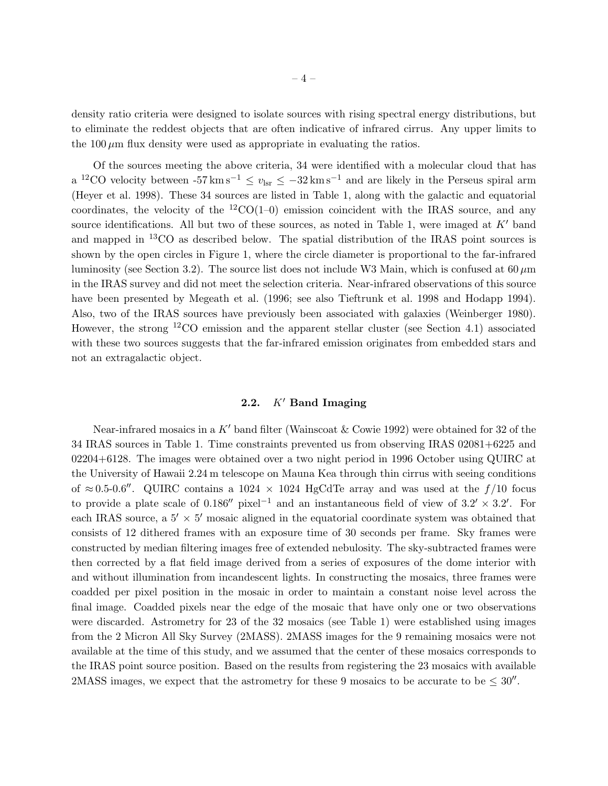density ratio criteria were designed to isolate sources with rising spectral energy distributions, but to eliminate the reddest objects that are often indicative of infrared cirrus. Any upper limits to the 100  $\mu$ m flux density were used as appropriate in evaluating the ratios.

Of the sources meeting the above criteria, 34 were identified with a molecular cloud that has a <sup>12</sup>CO velocity between  $-57 \text{ km s}^{-1} \le v_{\text{lsr}} \le -32 \text{ km s}^{-1}$  and are likely in the Perseus spiral arm (Heyer et al. 1998). These 34 sources are listed in Table 1, along with the galactic and equatorial coordinates, the velocity of the  ${}^{12}CO(1-0)$  emission coincident with the IRAS source, and any source identifications. All but two of these sources, as noted in Table 1, were imaged at  $K'$  band and mapped in <sup>13</sup>CO as described below. The spatial distribution of the IRAS point sources is shown by the open circles in Figure 1, where the circle diameter is proportional to the far-infrared luminosity (see Section 3.2). The source list does not include W3 Main, which is confused at  $60 \,\mu m$ in the IRAS survey and did not meet the selection criteria. Near-infrared observations of this source have been presented by Megeath et al. (1996; see also Tieftrunk et al. 1998 and Hodapp 1994). Also, two of the IRAS sources have previously been associated with galaxies (Weinberger 1980). However, the strong  ${}^{12}CO$  emission and the apparent stellar cluster (see Section 4.1) associated with these two sources suggests that the far-infrared emission originates from embedded stars and not an extragalactic object.

# 2.2.  $K'$  Band Imaging

Near-infrared mosaics in a K' band filter (Wainscoat & Cowie 1992) were obtained for 32 of the 34 IRAS sources in Table 1. Time constraints prevented us from observing IRAS 02081+6225 and 02204+6128. The images were obtained over a two night period in 1996 October using QUIRC at the University of Hawaii 2.24 m telescope on Mauna Kea through thin cirrus with seeing conditions of ≈0.5-0.6″. QUIRC contains a 1024 × 1024 HgCdTe array and was used at the  $f/10$  focus to provide a plate scale of  $0.186''$  pixel<sup>-1</sup> and an instantaneous field of view of  $3.2' \times 3.2'$ . For each IRAS source, a  $5' \times 5'$  mosaic aligned in the equatorial coordinate system was obtained that consists of 12 dithered frames with an exposure time of 30 seconds per frame. Sky frames were constructed by median filtering images free of extended nebulosity. The sky-subtracted frames were then corrected by a flat field image derived from a series of exposures of the dome interior with and without illumination from incandescent lights. In constructing the mosaics, three frames were coadded per pixel position in the mosaic in order to maintain a constant noise level across the final image. Coadded pixels near the edge of the mosaic that have only one or two observations were discarded. Astrometry for 23 of the 32 mosaics (see Table 1) were established using images from the 2 Micron All Sky Survey (2MASS). 2MASS images for the 9 remaining mosaics were not available at the time of this study, and we assumed that the center of these mosaics corresponds to the IRAS point source position. Based on the results from registering the 23 mosaics with available 2MASS images, we expect that the astrometry for these 9 mosaics to be accurate to be  $\leq 30''$ .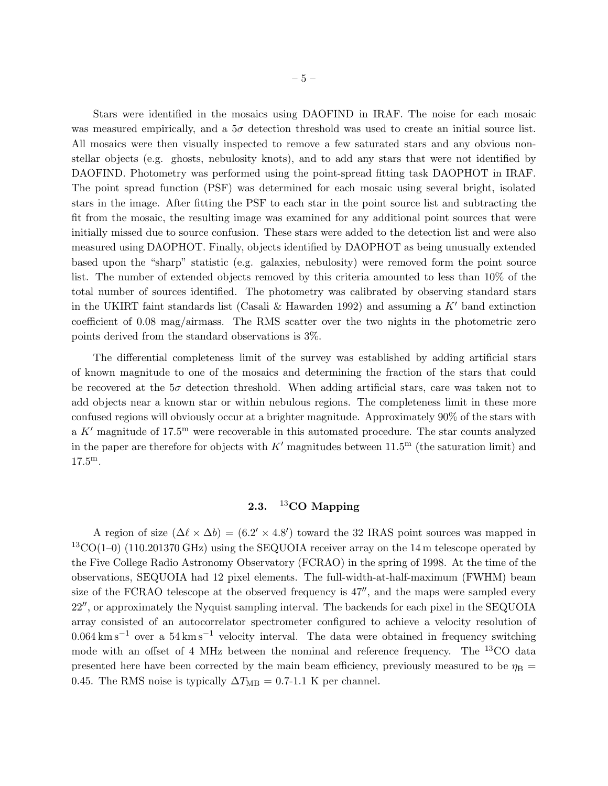Stars were identified in the mosaics using DAOFIND in IRAF. The noise for each mosaic was measured empirically, and a  $5\sigma$  detection threshold was used to create an initial source list. All mosaics were then visually inspected to remove a few saturated stars and any obvious nonstellar objects (e.g. ghosts, nebulosity knots), and to add any stars that were not identified by DAOFIND. Photometry was performed using the point-spread fitting task DAOPHOT in IRAF. The point spread function (PSF) was determined for each mosaic using several bright, isolated stars in the image. After fitting the PSF to each star in the point source list and subtracting the fit from the mosaic, the resulting image was examined for any additional point sources that were initially missed due to source confusion. These stars were added to the detection list and were also measured using DAOPHOT. Finally, objects identified by DAOPHOT as being unusually extended based upon the "sharp" statistic (e.g. galaxies, nebulosity) were removed form the point source list. The number of extended objects removed by this criteria amounted to less than 10% of the total number of sources identified. The photometry was calibrated by observing standard stars in the UKIRT faint standards list (Casali & Hawarden 1992) and assuming a  $K'$  band extinction coefficient of 0.08 mag/airmass. The RMS scatter over the two nights in the photometric zero points derived from the standard observations is 3%.

The differential completeness limit of the survey was established by adding artificial stars of known magnitude to one of the mosaics and determining the fraction of the stars that could be recovered at the  $5\sigma$  detection threshold. When adding artificial stars, care was taken not to add objects near a known star or within nebulous regions. The completeness limit in these more confused regions will obviously occur at a brighter magnitude. Approximately 90% of the stars with a K' magnitude of  $17.5^{\text{m}}$  were recoverable in this automated procedure. The star counts analyzed in the paper are therefore for objects with  $K'$  magnitudes between  $11.5<sup>m</sup>$  (the saturation limit) and 17.5m.

## 2.3.  $^{13}$ CO Mapping

A region of size  $(\Delta \ell \times \Delta b) = (6.2' \times 4.8')$  toward the 32 IRAS point sources was mapped in  $13\text{CO}(1-0)$  (110.201370 GHz) using the SEQUOIA receiver array on the 14 m telescope operated by the Five College Radio Astronomy Observatory (FCRAO) in the spring of 1998. At the time of the observations, SEQUOIA had 12 pixel elements. The full-width-at-half-maximum (FWHM) beam size of the FCRAO telescope at the observed frequency is  $47''$ , and the maps were sampled every 22′′, or approximately the Nyquist sampling interval. The backends for each pixel in the SEQUOIA array consisted of an autocorrelator spectrometer configured to achieve a velocity resolution of  $0.064 \mathrm{km \, s}^{-1}$  over a  $54 \mathrm{km \, s}^{-1}$  velocity interval. The data were obtained in frequency switching mode with an offset of 4 MHz between the nominal and reference frequency. The <sup>13</sup>CO data presented here have been corrected by the main beam efficiency, previously measured to be  $\eta_B$  = 0.45. The RMS noise is typically  $\Delta T_{\text{MB}} = 0.7$ -1.1 K per channel.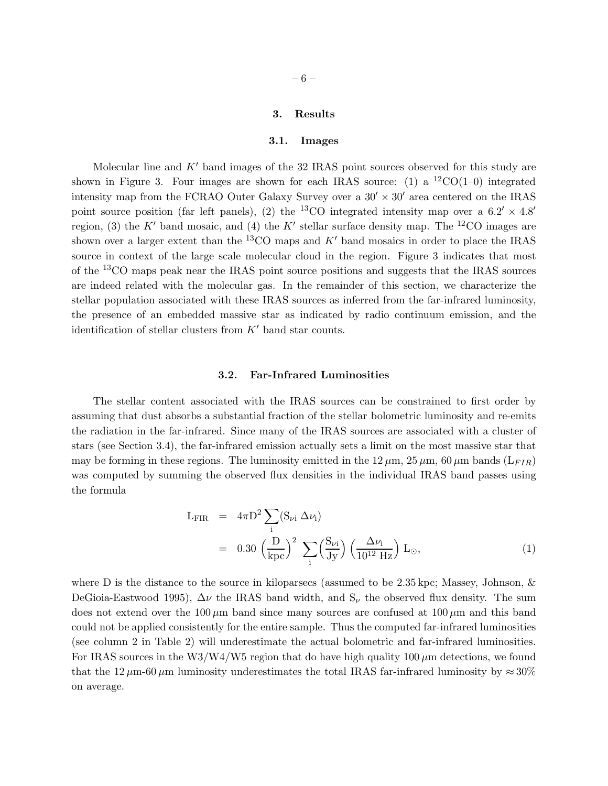#### 3. Results

#### 3.1. Images

Molecular line and  $K'$  band images of the 32 IRAS point sources observed for this study are shown in Figure 3. Four images are shown for each IRAS source: (1) a  ${}^{12}CO(1-0)$  integrated intensity map from the FCRAO Outer Galaxy Survey over a  $30' \times 30'$  area centered on the IRAS point source position (far left panels), (2) the <sup>13</sup>CO integrated intensity map over a  $6.2' \times 4.8'$ region, (3) the K' band mosaic, and (4) the K' stellar surface density map. The <sup>12</sup>CO images are shown over a larger extent than the  ${}^{13}$ CO maps and K' band mosaics in order to place the IRAS source in context of the large scale molecular cloud in the region. Figure 3 indicates that most of the <sup>13</sup>CO maps peak near the IRAS point source positions and suggests that the IRAS sources are indeed related with the molecular gas. In the remainder of this section, we characterize the stellar population associated with these IRAS sources as inferred from the far-infrared luminosity, the presence of an embedded massive star as indicated by radio continuum emission, and the identification of stellar clusters from  $K'$  band star counts.

#### 3.2. Far-Infrared Luminosities

The stellar content associated with the IRAS sources can be constrained to first order by assuming that dust absorbs a substantial fraction of the stellar bolometric luminosity and re-emits the radiation in the far-infrared. Since many of the IRAS sources are associated with a cluster of stars (see Section 3.4), the far-infrared emission actually sets a limit on the most massive star that may be forming in these regions. The luminosity emitted in the  $12 \mu m$ ,  $25 \mu m$ ,  $60 \mu m$  bands  $(L_{FIR})$ was computed by summing the observed flux densities in the individual IRAS band passes using the formula

$$
L_{\text{FIR}} = 4\pi D^2 \sum_{i} (S_{\nu i} \Delta \nu_i)
$$
  
= 0.30  $\left(\frac{D}{kpc}\right)^2 \sum_{i} \left(\frac{S_{\nu i}}{Jy}\right) \left(\frac{\Delta \nu_i}{10^{12} Hz}\right) L_{\odot},$  (1)

where D is the distance to the source in kiloparsecs (assumed to be  $2.35 \,\text{kpc}$ ; Massey, Johnson,  $\&$ DeGioia-Eastwood 1995),  $\Delta \nu$  the IRAS band width, and  $S_{\nu}$  the observed flux density. The sum does not extend over the  $100 \mu m$  band since many sources are confused at  $100 \mu m$  and this band could not be applied consistently for the entire sample. Thus the computed far-infrared luminosities (see column 2 in Table 2) will underestimate the actual bolometric and far-infrared luminosities. For IRAS sources in the W3/W4/W5 region that do have high quality  $100 \mu m$  detections, we found that the 12  $\mu$ m-60  $\mu$ m luminosity underestimates the total IRAS far-infrared luminosity by  $\approx 30\%$ on average.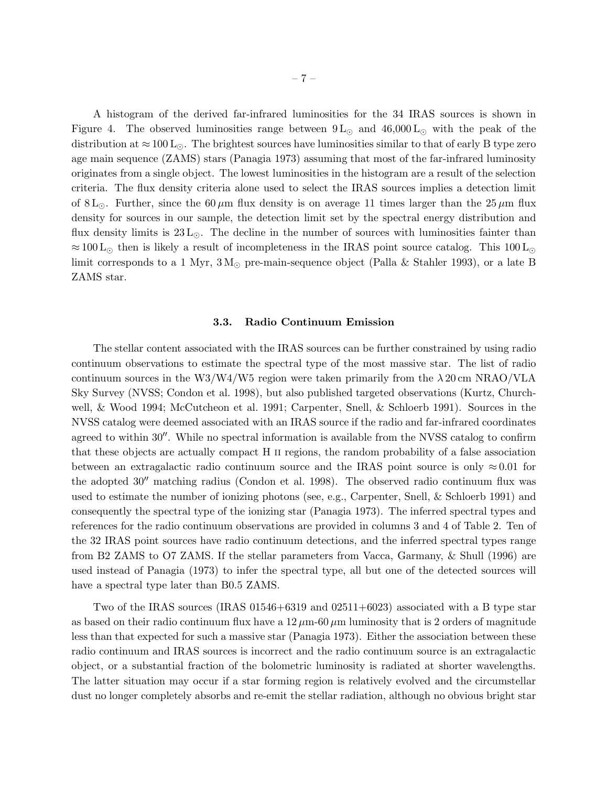A histogram of the derived far-infrared luminosities for the 34 IRAS sources is shown in Figure 4. The observed luminosities range between  $9 L<sub>o</sub>$  and  $46,000 L<sub>o</sub>$  with the peak of the distribution at  $\approx 100 \,\rm L_{\odot}$ . The brightest sources have luminosities similar to that of early B type zero age main sequence (ZAMS) stars (Panagia 1973) assuming that most of the far-infrared luminosity originates from a single object. The lowest luminosities in the histogram are a result of the selection criteria. The flux density criteria alone used to select the IRAS sources implies a detection limit of 8 L<sub>⊙</sub>. Further, since the 60  $\mu$ m flux density is on average 11 times larger than the 25  $\mu$ m flux density for sources in our sample, the detection limit set by the spectral energy distribution and flux density limits is  $23 L<sub>o</sub>$ . The decline in the number of sources with luminosities fainter than  $\approx 100 \, \text{L}_{\odot}$  then is likely a result of incompleteness in the IRAS point source catalog. This 100 L<sub>⊙</sub> limit corresponds to a 1 Myr,  $3 M_{\odot}$  pre-main-sequence object (Palla & Stahler 1993), or a late B ZAMS star.

#### 3.3. Radio Continuum Emission

The stellar content associated with the IRAS sources can be further constrained by using radio continuum observations to estimate the spectral type of the most massive star. The list of radio continuum sources in the W3/W4/W5 region were taken primarily from the  $\lambda$  20 cm NRAO/VLA Sky Survey (NVSS; Condon et al. 1998), but also published targeted observations (Kurtz, Churchwell, & Wood 1994; McCutcheon et al. 1991; Carpenter, Snell, & Schloerb 1991). Sources in the NVSS catalog were deemed associated with an IRAS source if the radio and far-infrared coordinates agreed to within 30′′. While no spectral information is available from the NVSS catalog to confirm that these objects are actually compact H ii regions, the random probability of a false association between an extragalactic radio continuum source and the IRAS point source is only  $\approx 0.01$  for the adopted 30′′ matching radius (Condon et al. 1998). The observed radio continuum flux was used to estimate the number of ionizing photons (see, e.g., Carpenter, Snell, & Schloerb 1991) and consequently the spectral type of the ionizing star (Panagia 1973). The inferred spectral types and references for the radio continuum observations are provided in columns 3 and 4 of Table 2. Ten of the 32 IRAS point sources have radio continuum detections, and the inferred spectral types range from B2 ZAMS to O7 ZAMS. If the stellar parameters from Vacca, Garmany, & Shull (1996) are used instead of Panagia (1973) to infer the spectral type, all but one of the detected sources will have a spectral type later than B0.5 ZAMS.

Two of the IRAS sources (IRAS  $01546+6319$  and  $02511+6023$ ) associated with a B type star as based on their radio continuum flux have a  $12 \mu m - 60 \mu m$  luminosity that is 2 orders of magnitude less than that expected for such a massive star (Panagia 1973). Either the association between these radio continuum and IRAS sources is incorrect and the radio continuum source is an extragalactic object, or a substantial fraction of the bolometric luminosity is radiated at shorter wavelengths. The latter situation may occur if a star forming region is relatively evolved and the circumstellar dust no longer completely absorbs and re-emit the stellar radiation, although no obvious bright star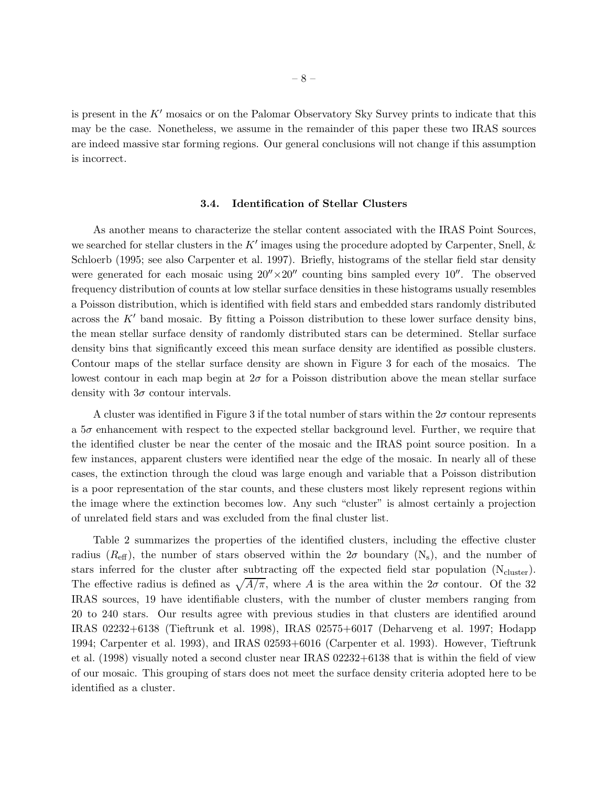is present in the  $K'$  mosaics or on the Palomar Observatory Sky Survey prints to indicate that this may be the case. Nonetheless, we assume in the remainder of this paper these two IRAS sources are indeed massive star forming regions. Our general conclusions will not change if this assumption is incorrect.

## 3.4. Identification of Stellar Clusters

As another means to characterize the stellar content associated with the IRAS Point Sources, we searched for stellar clusters in the  $K'$  images using the procedure adopted by Carpenter, Snell,  $\&$ Schloerb (1995; see also Carpenter et al. 1997). Briefly, histograms of the stellar field star density were generated for each mosaic using  $20'' \times 20''$  counting bins sampled every 10<sup>'</sup>. The observed frequency distribution of counts at low stellar surface densities in these histograms usually resembles a Poisson distribution, which is identified with field stars and embedded stars randomly distributed across the  $K'$  band mosaic. By fitting a Poisson distribution to these lower surface density bins, the mean stellar surface density of randomly distributed stars can be determined. Stellar surface density bins that significantly exceed this mean surface density are identified as possible clusters. Contour maps of the stellar surface density are shown in Figure 3 for each of the mosaics. The lowest contour in each map begin at  $2\sigma$  for a Poisson distribution above the mean stellar surface density with  $3\sigma$  contour intervals.

A cluster was identified in Figure 3 if the total number of stars within the  $2\sigma$  contour represents a 5σ enhancement with respect to the expected stellar background level. Further, we require that the identified cluster be near the center of the mosaic and the IRAS point source position. In a few instances, apparent clusters were identified near the edge of the mosaic. In nearly all of these cases, the extinction through the cloud was large enough and variable that a Poisson distribution is a poor representation of the star counts, and these clusters most likely represent regions within the image where the extinction becomes low. Any such "cluster" is almost certainly a projection of unrelated field stars and was excluded from the final cluster list.

Table 2 summarizes the properties of the identified clusters, including the effective cluster radius ( $R_{\text{eff}}$ ), the number of stars observed within the  $2\sigma$  boundary (N<sub>s</sub>), and the number of stars inferred for the cluster after subtracting off the expected field star population  $(N_{cluster})$ . The effective radius is defined as  $\sqrt{A/\pi}$ , where A is the area within the  $2\sigma$  contour. Of the 32 IRAS sources, 19 have identifiable clusters, with the number of cluster members ranging from 20 to 240 stars. Our results agree with previous studies in that clusters are identified around IRAS 02232+6138 (Tieftrunk et al. 1998), IRAS 02575+6017 (Deharveng et al. 1997; Hodapp 1994; Carpenter et al. 1993), and IRAS 02593+6016 (Carpenter et al. 1993). However, Tieftrunk et al. (1998) visually noted a second cluster near IRAS 02232+6138 that is within the field of view of our mosaic. This grouping of stars does not meet the surface density criteria adopted here to be identified as a cluster.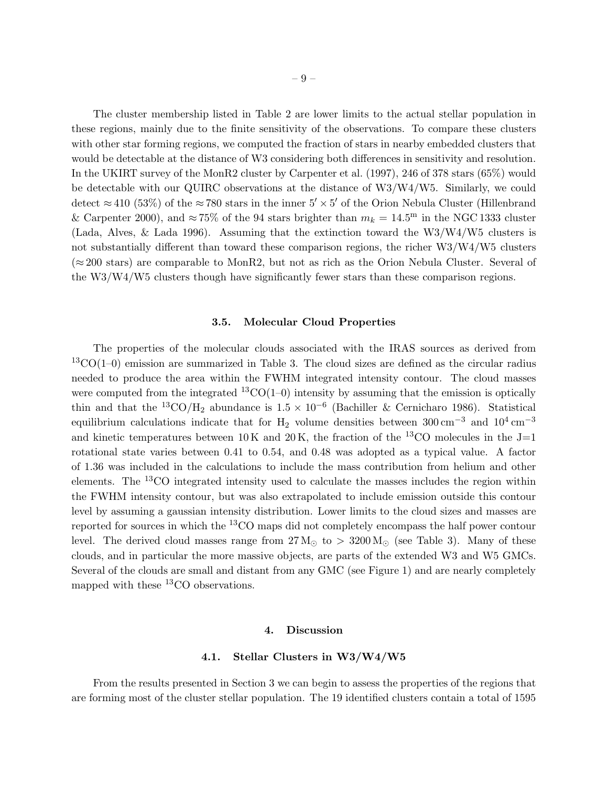The cluster membership listed in Table 2 are lower limits to the actual stellar population in these regions, mainly due to the finite sensitivity of the observations. To compare these clusters with other star forming regions, we computed the fraction of stars in nearby embedded clusters that would be detectable at the distance of W3 considering both differences in sensitivity and resolution. In the UKIRT survey of the MonR2 cluster by Carpenter et al. (1997), 246 of 378 stars (65%) would be detectable with our QUIRC observations at the distance of W3/W4/W5. Similarly, we could detect  $\approx$  410 (53%) of the  $\approx$  780 stars in the inner 5'  $\times$  5' of the Orion Nebula Cluster (Hillenbrand & Carpenter 2000), and  $\approx 75\%$  of the 94 stars brighter than  $m_k = 14.5^{\text{m}}$  in the NGC 1333 cluster (Lada, Alves, & Lada 1996). Assuming that the extinction toward the W3/W4/W5 clusters is not substantially different than toward these comparison regions, the richer W3/W4/W5 clusters  $(\approx 200 \text{ stars})$  are comparable to MonR2, but not as rich as the Orion Nebula Cluster. Several of the W3/W4/W5 clusters though have significantly fewer stars than these comparison regions.

#### 3.5. Molecular Cloud Properties

The properties of the molecular clouds associated with the IRAS sources as derived from  ${}^{13}CO(1-0)$  emission are summarized in Table 3. The cloud sizes are defined as the circular radius needed to produce the area within the FWHM integrated intensity contour. The cloud masses were computed from the integrated  ${}^{13}CO(1-0)$  intensity by assuming that the emission is optically thin and that the <sup>13</sup>CO/H<sub>2</sub> abundance is  $1.5 \times 10^{-6}$  (Bachiller & Cernicharo 1986). Statistical equilibrium calculations indicate that for H<sub>2</sub> volume densities between  $300 \text{ cm}^{-3}$  and  $10^4 \text{ cm}^{-3}$ and kinetic temperatures between  $10 \text{ K}$  and  $20 \text{ K}$ , the fraction of the <sup>13</sup>CO molecules in the J=1 rotational state varies between 0.41 to 0.54, and 0.48 was adopted as a typical value. A factor of 1.36 was included in the calculations to include the mass contribution from helium and other elements. The <sup>13</sup>CO integrated intensity used to calculate the masses includes the region within the FWHM intensity contour, but was also extrapolated to include emission outside this contour level by assuming a gaussian intensity distribution. Lower limits to the cloud sizes and masses are reported for sources in which the <sup>13</sup>CO maps did not completely encompass the half power contour level. The derived cloud masses range from  $27 M_{\odot}$  to  $> 3200 M_{\odot}$  (see Table 3). Many of these clouds, and in particular the more massive objects, are parts of the extended W3 and W5 GMCs. Several of the clouds are small and distant from any GMC (see Figure 1) and are nearly completely mapped with these  ${}^{13}$ CO observations.

#### 4. Discussion

#### 4.1. Stellar Clusters in W3/W4/W5

From the results presented in Section 3 we can begin to assess the properties of the regions that are forming most of the cluster stellar population. The 19 identified clusters contain a total of 1595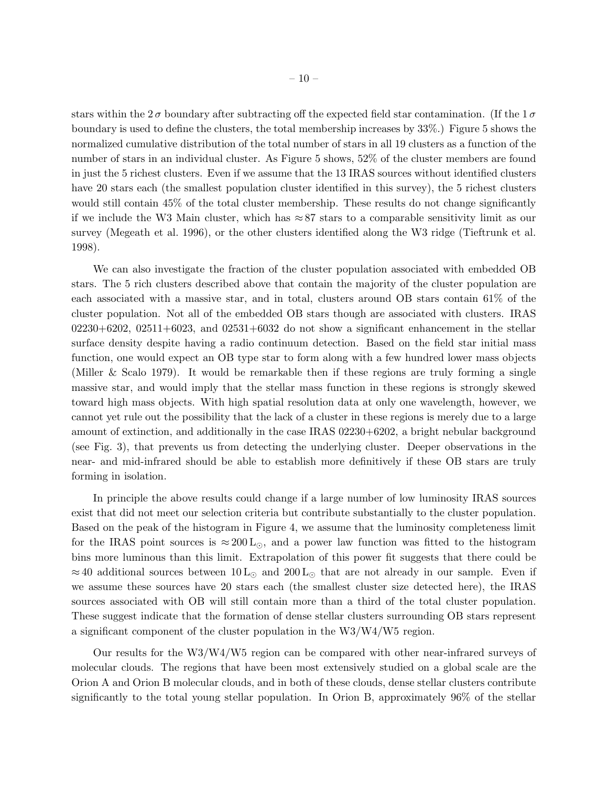stars within the  $2\sigma$  boundary after subtracting off the expected field star contamination. (If the  $1\sigma$ boundary is used to define the clusters, the total membership increases by 33%.) Figure 5 shows the normalized cumulative distribution of the total number of stars in all 19 clusters as a function of the number of stars in an individual cluster. As Figure 5 shows, 52% of the cluster members are found in just the 5 richest clusters. Even if we assume that the 13 IRAS sources without identified clusters have 20 stars each (the smallest population cluster identified in this survey), the 5 richest clusters would still contain 45% of the total cluster membership. These results do not change significantly if we include the W3 Main cluster, which has  $\approx 87$  stars to a comparable sensitivity limit as our survey (Megeath et al. 1996), or the other clusters identified along the W3 ridge (Tieftrunk et al. 1998).

We can also investigate the fraction of the cluster population associated with embedded OB stars. The 5 rich clusters described above that contain the majority of the cluster population are each associated with a massive star, and in total, clusters around OB stars contain 61% of the cluster population. Not all of the embedded OB stars though are associated with clusters. IRAS  $02230+6202$ ,  $02511+6023$ , and  $02531+6032$  do not show a significant enhancement in the stellar surface density despite having a radio continuum detection. Based on the field star initial mass function, one would expect an OB type star to form along with a few hundred lower mass objects (Miller & Scalo 1979). It would be remarkable then if these regions are truly forming a single massive star, and would imply that the stellar mass function in these regions is strongly skewed toward high mass objects. With high spatial resolution data at only one wavelength, however, we cannot yet rule out the possibility that the lack of a cluster in these regions is merely due to a large amount of extinction, and additionally in the case IRAS 02230+6202, a bright nebular background (see Fig. 3), that prevents us from detecting the underlying cluster. Deeper observations in the near- and mid-infrared should be able to establish more definitively if these OB stars are truly forming in isolation.

In principle the above results could change if a large number of low luminosity IRAS sources exist that did not meet our selection criteria but contribute substantially to the cluster population. Based on the peak of the histogram in Figure 4, we assume that the luminosity completeness limit for the IRAS point sources is  $\approx 200 \,\text{L}_{\odot}$ , and a power law function was fitted to the histogram bins more luminous than this limit. Extrapolation of this power fit suggests that there could be  $\approx 40$  additional sources between  $10 \text{ L}_{\odot}$  and  $200 \text{ L}_{\odot}$  that are not already in our sample. Even if we assume these sources have 20 stars each (the smallest cluster size detected here), the IRAS sources associated with OB will still contain more than a third of the total cluster population. These suggest indicate that the formation of dense stellar clusters surrounding OB stars represent a significant component of the cluster population in the W3/W4/W5 region.

Our results for the W3/W4/W5 region can be compared with other near-infrared surveys of molecular clouds. The regions that have been most extensively studied on a global scale are the Orion A and Orion B molecular clouds, and in both of these clouds, dense stellar clusters contribute significantly to the total young stellar population. In Orion B, approximately 96% of the stellar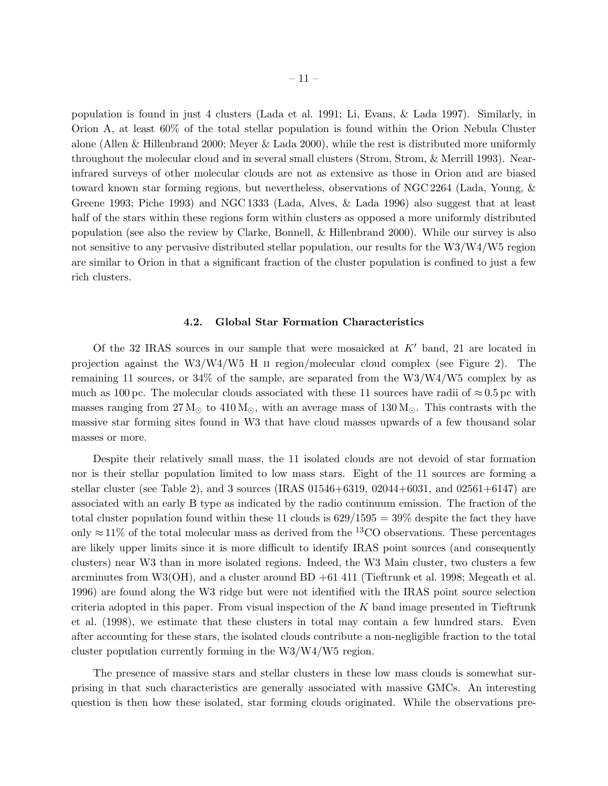population is found in just 4 clusters (Lada et al. 1991; Li, Evans, & Lada 1997). Similarly, in Orion A, at least 60% of the total stellar population is found within the Orion Nebula Cluster alone (Allen & Hillenbrand 2000; Meyer & Lada 2000), while the rest is distributed more uniformly

throughout the molecular cloud and in several small clusters (Strom, Strom, & Merrill 1993). Nearinfrared surveys of other molecular clouds are not as extensive as those in Orion and are biased toward known star forming regions, but nevertheless, observations of NGC 2264 (Lada, Young, & Greene 1993; Piche 1993) and NGC 1333 (Lada, Alves, & Lada 1996) also suggest that at least half of the stars within these regions form within clusters as opposed a more uniformly distributed population (see also the review by Clarke, Bonnell, & Hillenbrand 2000). While our survey is also not sensitive to any pervasive distributed stellar population, our results for the W3/W4/W5 region are similar to Orion in that a significant fraction of the cluster population is confined to just a few rich clusters.

#### 4.2. Global Star Formation Characteristics

Of the 32 IRAS sources in our sample that were mosaicked at  $K'$  band, 21 are located in projection against the W3/W4/W5 H ii region/molecular cloud complex (see Figure 2). The remaining 11 sources, or 34% of the sample, are separated from the W3/W4/W5 complex by as much as 100 pc. The molecular clouds associated with these 11 sources have radii of  $\approx 0.5$  pc with masses ranging from  $27 M_{\odot}$  to  $410 M_{\odot}$ , with an average mass of  $130 M_{\odot}$ . This contrasts with the massive star forming sites found in W3 that have cloud masses upwards of a few thousand solar masses or more.

Despite their relatively small mass, the 11 isolated clouds are not devoid of star formation nor is their stellar population limited to low mass stars. Eight of the 11 sources are forming a stellar cluster (see Table 2), and 3 sources (IRAS  $01546+6319$ ,  $02044+6031$ , and  $02561+6147$ ) are associated with an early B type as indicated by the radio continuum emission. The fraction of the total cluster population found within these 11 clouds is  $629/1595 = 39\%$  despite the fact they have only  $\approx$  11% of the total molecular mass as derived from the <sup>13</sup>CO observations. These percentages are likely upper limits since it is more difficult to identify IRAS point sources (and consequently clusters) near W3 than in more isolated regions. Indeed, the W3 Main cluster, two clusters a few arcminutes from W3(OH), and a cluster around BD +61 411 (Tieftrunk et al. 1998; Megeath et al. 1996) are found along the W3 ridge but were not identified with the IRAS point source selection criteria adopted in this paper. From visual inspection of the  $K$  band image presented in Tieftrunk et al. (1998), we estimate that these clusters in total may contain a few hundred stars. Even after accounting for these stars, the isolated clouds contribute a non-negligible fraction to the total cluster population currently forming in the W3/W4/W5 region.

The presence of massive stars and stellar clusters in these low mass clouds is somewhat surprising in that such characteristics are generally associated with massive GMCs. An interesting question is then how these isolated, star forming clouds originated. While the observations pre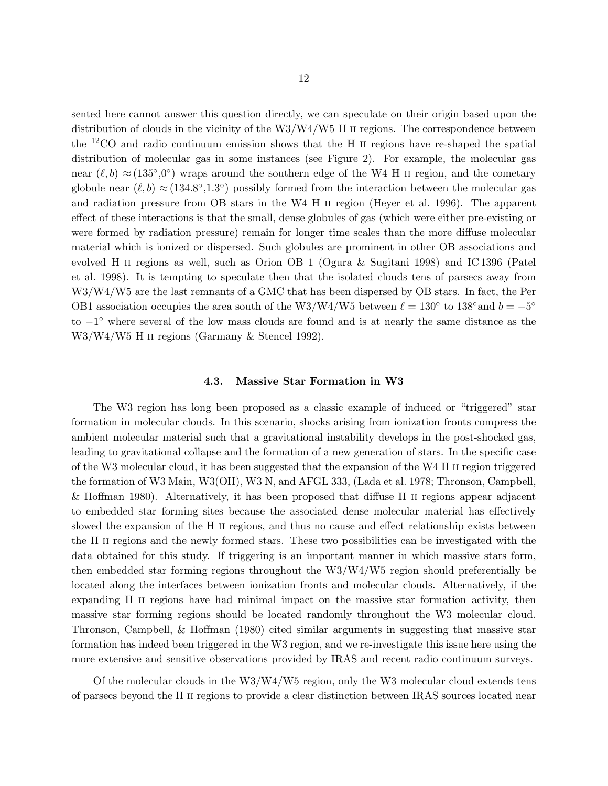sented here cannot answer this question directly, we can speculate on their origin based upon the distribution of clouds in the vicinity of the  $W3/W4/W5$  H II regions. The correspondence between the <sup>12</sup>CO and radio continuum emission shows that the H ii regions have re-shaped the spatial distribution of molecular gas in some instances (see Figure 2). For example, the molecular gas near  $(\ell, b) \approx (135^{\circ}, 0^{\circ})$  wraps around the southern edge of the W4 H II region, and the cometary globule near  $(\ell, b) \approx (134.8^{\circ}, 1.3^{\circ})$  possibly formed from the interaction between the molecular gas and radiation pressure from OB stars in the W4 H ii region (Heyer et al. 1996). The apparent effect of these interactions is that the small, dense globules of gas (which were either pre-existing or were formed by radiation pressure) remain for longer time scales than the more diffuse molecular material which is ionized or dispersed. Such globules are prominent in other OB associations and evolved H ii regions as well, such as Orion OB 1 (Ogura & Sugitani 1998) and IC 1396 (Patel et al. 1998). It is tempting to speculate then that the isolated clouds tens of parsecs away from W3/W4/W5 are the last remnants of a GMC that has been dispersed by OB stars. In fact, the Per OB1 association occupies the area south of the W3/W4/W5 between  $\ell = 130^{\circ}$  to 138° and  $b = -5^{\circ}$ to −1 ◦ where several of the low mass clouds are found and is at nearly the same distance as the W3/W4/W5 H ii regions (Garmany & Stencel 1992).

#### 4.3. Massive Star Formation in W3

The W3 region has long been proposed as a classic example of induced or "triggered" star formation in molecular clouds. In this scenario, shocks arising from ionization fronts compress the ambient molecular material such that a gravitational instability develops in the post-shocked gas, leading to gravitational collapse and the formation of a new generation of stars. In the specific case of the W3 molecular cloud, it has been suggested that the expansion of the W4 H ii region triggered the formation of W3 Main, W3(OH), W3 N, and AFGL 333, (Lada et al. 1978; Thronson, Campbell, & Hoffman 1980). Alternatively, it has been proposed that diffuse H ii regions appear adjacent to embedded star forming sites because the associated dense molecular material has effectively slowed the expansion of the H II regions, and thus no cause and effect relationship exists between the H ii regions and the newly formed stars. These two possibilities can be investigated with the data obtained for this study. If triggering is an important manner in which massive stars form, then embedded star forming regions throughout the W3/W4/W5 region should preferentially be located along the interfaces between ionization fronts and molecular clouds. Alternatively, if the expanding H II regions have had minimal impact on the massive star formation activity, then massive star forming regions should be located randomly throughout the W3 molecular cloud. Thronson, Campbell, & Hoffman (1980) cited similar arguments in suggesting that massive star formation has indeed been triggered in the W3 region, and we re-investigate this issue here using the more extensive and sensitive observations provided by IRAS and recent radio continuum surveys.

Of the molecular clouds in the  $W3/W4/W5$  region, only the W3 molecular cloud extends tens of parsecs beyond the H ii regions to provide a clear distinction between IRAS sources located near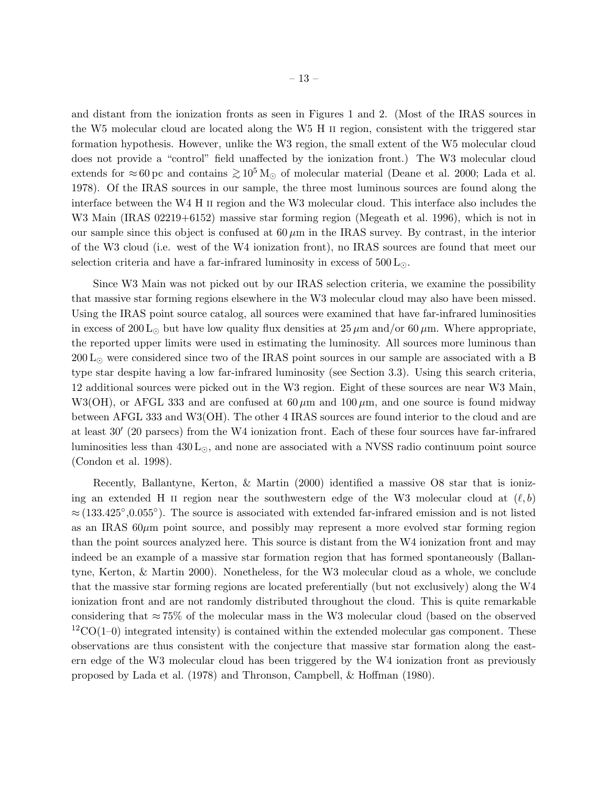and distant from the ionization fronts as seen in Figures 1 and 2. (Most of the IRAS sources in the W5 molecular cloud are located along the W5 H ii region, consistent with the triggered star formation hypothesis. However, unlike the W3 region, the small extent of the W5 molecular cloud does not provide a "control" field unaffected by the ionization front.) The W3 molecular cloud extends for ≈60 pc and contains  $\gtrsim 10^5 M_{\odot}$  of molecular material (Deane et al. 2000; Lada et al. 1978). Of the IRAS sources in our sample, the three most luminous sources are found along the interface between the W4 H ii region and the W3 molecular cloud. This interface also includes the W3 Main (IRAS 02219+6152) massive star forming region (Megeath et al. 1996), which is not in our sample since this object is confused at  $60 \mu m$  in the IRAS survey. By contrast, in the interior of the W3 cloud (i.e. west of the W4 ionization front), no IRAS sources are found that meet our selection criteria and have a far-infrared luminosity in excess of  $500 \, \text{L}_{\odot}$ .

Since W3 Main was not picked out by our IRAS selection criteria, we examine the possibility that massive star forming regions elsewhere in the W3 molecular cloud may also have been missed. Using the IRAS point source catalog, all sources were examined that have far-infrared luminosities in excess of 200 L<sub>⊙</sub> but have low quality flux densities at  $25 \mu m$  and/or 60  $\mu$ m. Where appropriate, the reported upper limits were used in estimating the luminosity. All sources more luminous than 200  $L_{\odot}$  were considered since two of the IRAS point sources in our sample are associated with a B type star despite having a low far-infrared luminosity (see Section 3.3). Using this search criteria, 12 additional sources were picked out in the W3 region. Eight of these sources are near W3 Main, W3(OH), or AFGL 333 and are confused at  $60 \mu m$  and  $100 \mu m$ , and one source is found midway between AFGL 333 and W3(OH). The other 4 IRAS sources are found interior to the cloud and are at least 30′ (20 parsecs) from the W4 ionization front. Each of these four sources have far-infrared luminosities less than  $430 \text{ L}_{\odot}$ , and none are associated with a NVSS radio continuum point source (Condon et al. 1998).

Recently, Ballantyne, Kerton, & Martin (2000) identified a massive O8 star that is ionizing an extended H II region near the southwestern edge of the W3 molecular cloud at  $(\ell, b)$  $\approx$  (133.425°,0.055°). The source is associated with extended far-infrared emission and is not listed as an IRAS  $60\mu$ m point source, and possibly may represent a more evolved star forming region than the point sources analyzed here. This source is distant from the W4 ionization front and may indeed be an example of a massive star formation region that has formed spontaneously (Ballantyne, Kerton, & Martin 2000). Nonetheless, for the W3 molecular cloud as a whole, we conclude that the massive star forming regions are located preferentially (but not exclusively) along the W4 ionization front and are not randomly distributed throughout the cloud. This is quite remarkable considering that  $\approx 75\%$  of the molecular mass in the W3 molecular cloud (based on the observed  ${}^{12}CO(1-0)$  integrated intensity) is contained within the extended molecular gas component. These observations are thus consistent with the conjecture that massive star formation along the eastern edge of the W3 molecular cloud has been triggered by the W4 ionization front as previously proposed by Lada et al. (1978) and Thronson, Campbell, & Hoffman (1980).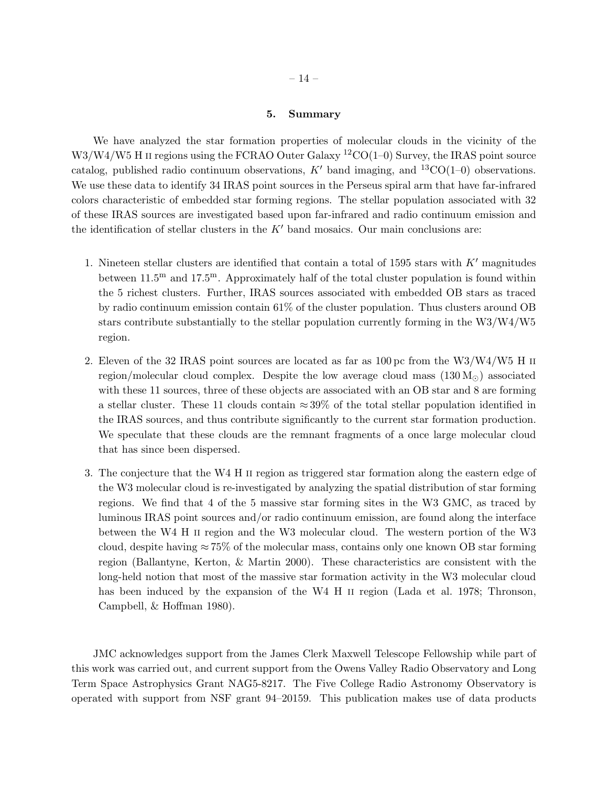# 5. Summary

We have analyzed the star formation properties of molecular clouds in the vicinity of the  $W3/W4/W5$  H II regions using the FCRAO Outer Galaxy  ${}^{12}CO(1-0)$  Survey, the IRAS point source catalog, published radio continuum observations, K' band imaging, and <sup>13</sup>CO(1–0) observations. We use these data to identify 34 IRAS point sources in the Perseus spiral arm that have far-infrared colors characteristic of embedded star forming regions. The stellar population associated with 32 of these IRAS sources are investigated based upon far-infrared and radio continuum emission and the identification of stellar clusters in the  $K'$  band mosaics. Our main conclusions are:

- 1. Nineteen stellar clusters are identified that contain a total of 1595 stars with  $K'$  magnitudes between  $11.5^{\text{m}}$  and  $17.5^{\text{m}}$ . Approximately half of the total cluster population is found within the 5 richest clusters. Further, IRAS sources associated with embedded OB stars as traced by radio continuum emission contain 61% of the cluster population. Thus clusters around OB stars contribute substantially to the stellar population currently forming in the W3/W4/W5 region.
- 2. Eleven of the 32 IRAS point sources are located as far as  $100 \,\mathrm{pc}$  from the W3/W4/W5 H II region/molecular cloud complex. Despite the low average cloud mass  $(130 M<sub>o</sub>)$  associated with these 11 sources, three of these objects are associated with an OB star and 8 are forming a stellar cluster. These 11 clouds contain  $\approx 39\%$  of the total stellar population identified in the IRAS sources, and thus contribute significantly to the current star formation production. We speculate that these clouds are the remnant fragments of a once large molecular cloud that has since been dispersed.
- 3. The conjecture that the W4 H ii region as triggered star formation along the eastern edge of the W3 molecular cloud is re-investigated by analyzing the spatial distribution of star forming regions. We find that 4 of the 5 massive star forming sites in the W3 GMC, as traced by luminous IRAS point sources and/or radio continuum emission, are found along the interface between the W4 H ii region and the W3 molecular cloud. The western portion of the W3 cloud, despite having  $\approx 75\%$  of the molecular mass, contains only one known OB star forming region (Ballantyne, Kerton, & Martin 2000). These characteristics are consistent with the long-held notion that most of the massive star formation activity in the W3 molecular cloud has been induced by the expansion of the W4 H II region (Lada et al. 1978; Thronson, Campbell, & Hoffman 1980).

JMC acknowledges support from the James Clerk Maxwell Telescope Fellowship while part of this work was carried out, and current support from the Owens Valley Radio Observatory and Long Term Space Astrophysics Grant NAG5-8217. The Five College Radio Astronomy Observatory is operated with support from NSF grant 94–20159. This publication makes use of data products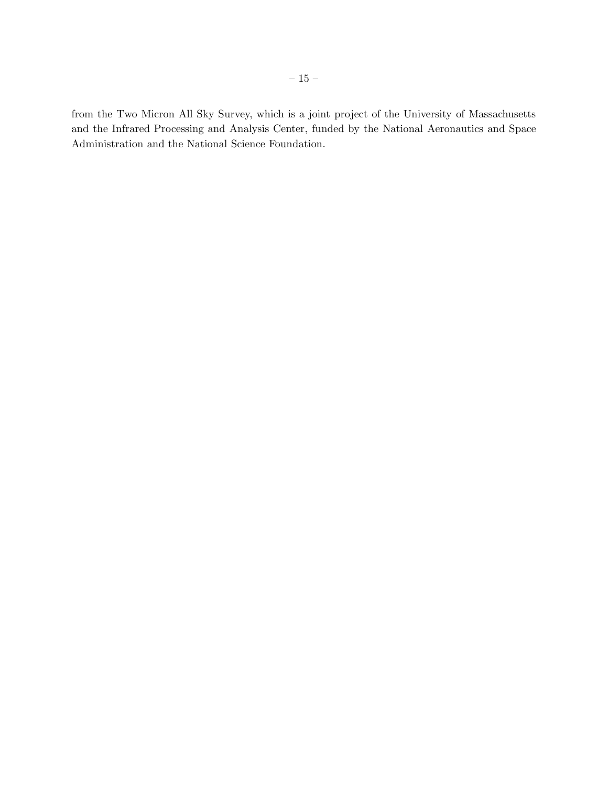from the Two Micron All Sky Survey, which is a joint project of the University of Massachusetts and the Infrared Processing and Analysis Center, funded by the National Aeronautics and Space Administration and the National Science Foundation.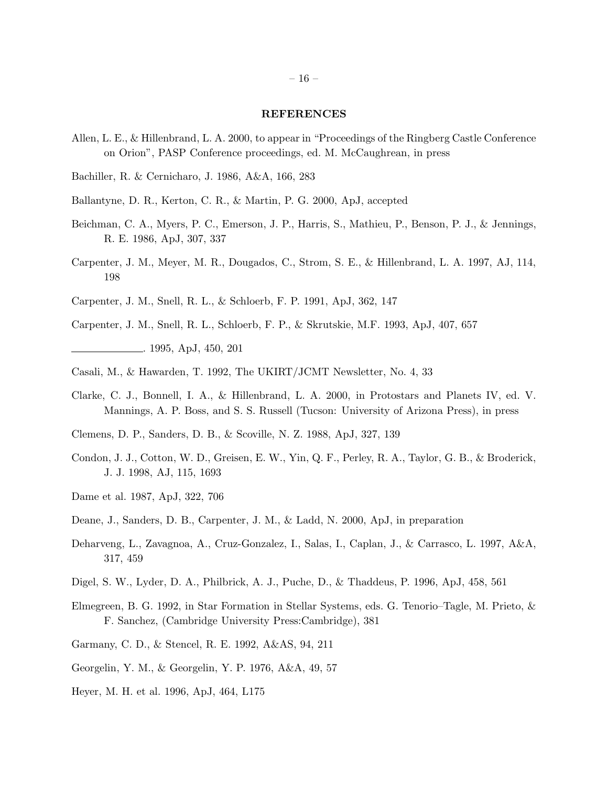## REFERENCES

- Allen, L. E., & Hillenbrand, L. A. 2000, to appear in "Proceedings of the Ringberg Castle Conference on Orion", PASP Conference proceedings, ed. M. McCaughrean, in press
- Bachiller, R. & Cernicharo, J. 1986, A&A, 166, 283
- Ballantyne, D. R., Kerton, C. R., & Martin, P. G. 2000, ApJ, accepted
- Beichman, C. A., Myers, P. C., Emerson, J. P., Harris, S., Mathieu, P., Benson, P. J., & Jennings, R. E. 1986, ApJ, 307, 337
- Carpenter, J. M., Meyer, M. R., Dougados, C., Strom, S. E., & Hillenbrand, L. A. 1997, AJ, 114, 198
- Carpenter, J. M., Snell, R. L., & Schloerb, F. P. 1991, ApJ, 362, 147
- Carpenter, J. M., Snell, R. L., Schloerb, F. P., & Skrutskie, M.F. 1993, ApJ, 407, 657 . 1995, ApJ, 450, 201
- Casali, M., & Hawarden, T. 1992, The UKIRT/JCMT Newsletter, No. 4, 33
- Clarke, C. J., Bonnell, I. A., & Hillenbrand, L. A. 2000, in Protostars and Planets IV, ed. V. Mannings, A. P. Boss, and S. S. Russell (Tucson: University of Arizona Press), in press
- Clemens, D. P., Sanders, D. B., & Scoville, N. Z. 1988, ApJ, 327, 139
- Condon, J. J., Cotton, W. D., Greisen, E. W., Yin, Q. F., Perley, R. A., Taylor, G. B., & Broderick, J. J. 1998, AJ, 115, 1693
- Dame et al. 1987, ApJ, 322, 706
- Deane, J., Sanders, D. B., Carpenter, J. M., & Ladd, N. 2000, ApJ, in preparation
- Deharveng, L., Zavagnoa, A., Cruz-Gonzalez, I., Salas, I., Caplan, J., & Carrasco, L. 1997, A&A, 317, 459
- Digel, S. W., Lyder, D. A., Philbrick, A. J., Puche, D., & Thaddeus, P. 1996, ApJ, 458, 561
- Elmegreen, B. G. 1992, in Star Formation in Stellar Systems, eds. G. Tenorio–Tagle, M. Prieto, & F. Sanchez, (Cambridge University Press:Cambridge), 381
- Garmany, C. D., & Stencel, R. E. 1992, A&AS, 94, 211
- Georgelin, Y. M., & Georgelin, Y. P. 1976, A&A, 49, 57
- Heyer, M. H. et al. 1996, ApJ, 464, L175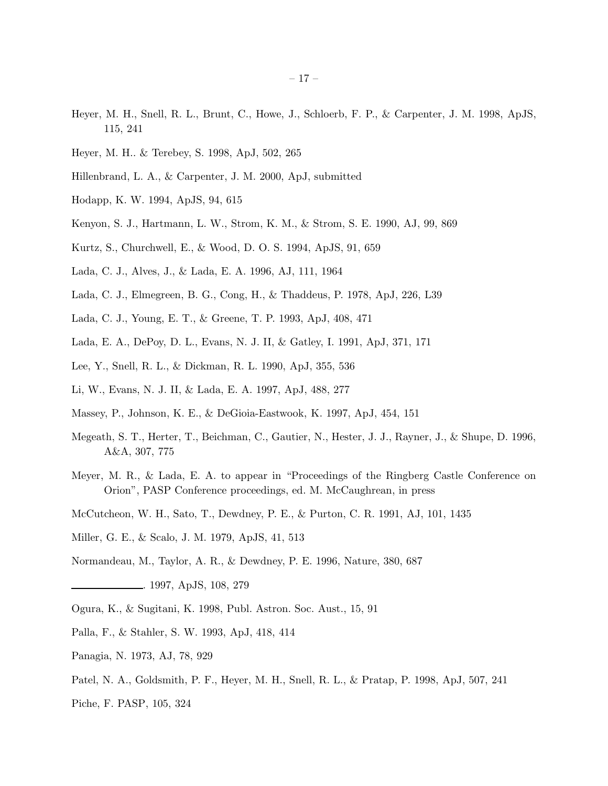- Heyer, M. H., Snell, R. L., Brunt, C., Howe, J., Schloerb, F. P., & Carpenter, J. M. 1998, ApJS, 115, 241
- Heyer, M. H.. & Terebey, S. 1998, ApJ, 502, 265
- Hillenbrand, L. A., & Carpenter, J. M. 2000, ApJ, submitted
- Hodapp, K. W. 1994, ApJS, 94, 615
- Kenyon, S. J., Hartmann, L. W., Strom, K. M., & Strom, S. E. 1990, AJ, 99, 869
- Kurtz, S., Churchwell, E., & Wood, D. O. S. 1994, ApJS, 91, 659
- Lada, C. J., Alves, J., & Lada, E. A. 1996, AJ, 111, 1964
- Lada, C. J., Elmegreen, B. G., Cong, H., & Thaddeus, P. 1978, ApJ, 226, L39
- Lada, C. J., Young, E. T., & Greene, T. P. 1993, ApJ, 408, 471
- Lada, E. A., DePoy, D. L., Evans, N. J. II, & Gatley, I. 1991, ApJ, 371, 171
- Lee, Y., Snell, R. L., & Dickman, R. L. 1990, ApJ, 355, 536
- Li, W., Evans, N. J. II, & Lada, E. A. 1997, ApJ, 488, 277
- Massey, P., Johnson, K. E., & DeGioia-Eastwook, K. 1997, ApJ, 454, 151
- Megeath, S. T., Herter, T., Beichman, C., Gautier, N., Hester, J. J., Rayner, J., & Shupe, D. 1996, A&A, 307, 775
- Meyer, M. R., & Lada, E. A. to appear in "Proceedings of the Ringberg Castle Conference on Orion", PASP Conference proceedings, ed. M. McCaughrean, in press
- McCutcheon, W. H., Sato, T., Dewdney, P. E., & Purton, C. R. 1991, AJ, 101, 1435
- Miller, G. E., & Scalo, J. M. 1979, ApJS, 41, 513
- Normandeau, M., Taylor, A. R., & Dewdney, P. E. 1996, Nature, 380, 687
- . 1997, ApJS, 108, 279
- Ogura, K., & Sugitani, K. 1998, Publ. Astron. Soc. Aust., 15, 91
- Palla, F., & Stahler, S. W. 1993, ApJ, 418, 414
- Panagia, N. 1973, AJ, 78, 929
- Patel, N. A., Goldsmith, P. F., Heyer, M. H., Snell, R. L., & Pratap, P. 1998, ApJ, 507, 241
- Piche, F. PASP, 105, 324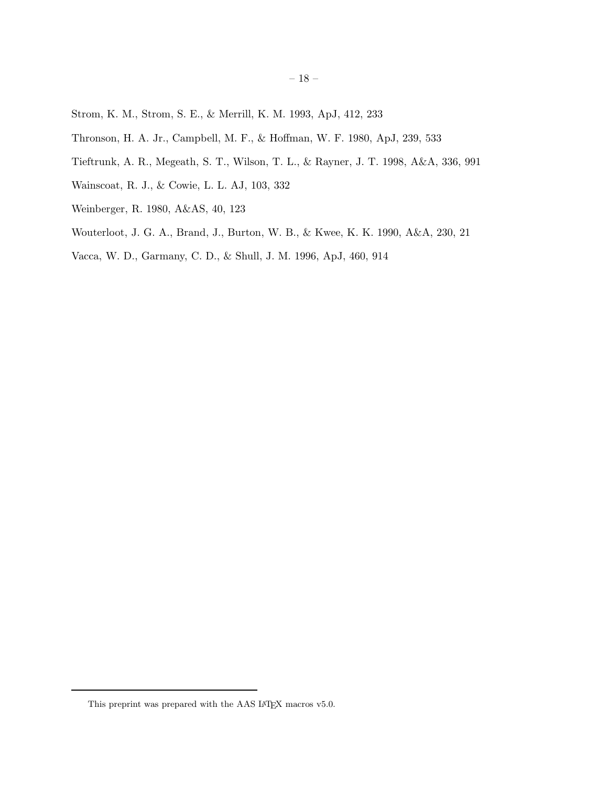- Strom, K. M., Strom, S. E., & Merrill, K. M. 1993, ApJ, 412, 233
- Thronson, H. A. Jr., Campbell, M. F., & Hoffman, W. F. 1980, ApJ, 239, 533
- Tieftrunk, A. R., Megeath, S. T., Wilson, T. L., & Rayner, J. T. 1998, A&A, 336, 991
- Wainscoat, R. J., & Cowie, L. L. AJ, 103, 332
- Weinberger, R. 1980, A&AS, 40, 123
- Wouterloot, J. G. A., Brand, J., Burton, W. B., & Kwee, K. K. 1990, A&A, 230, 21
- Vacca, W. D., Garmany, C. D., & Shull, J. M. 1996, ApJ, 460, 914

This preprint was prepared with the AAS IATEX macros v5.0.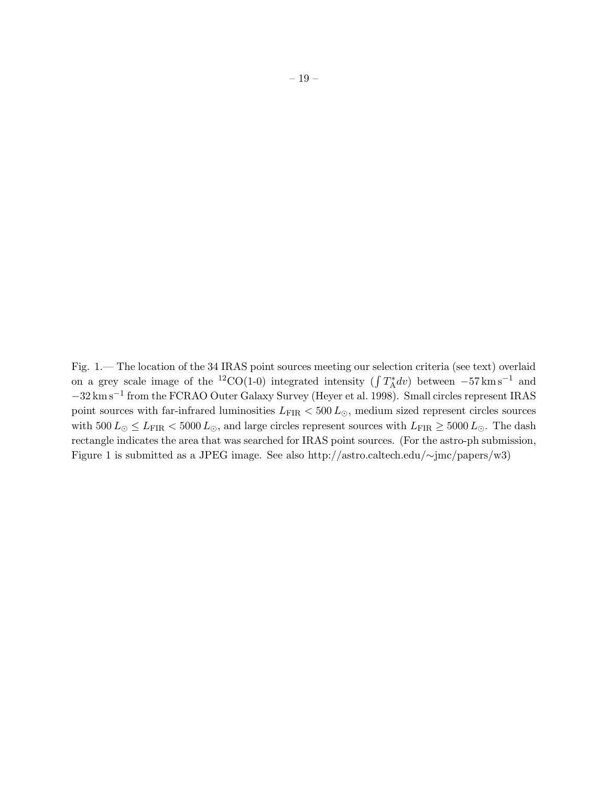Fig. 1.— The location of the 34 IRAS point sources meeting our selection criteria (see text) overlaid on a grey scale image of the <sup>12</sup>CO(1-0) integrated intensity ( $\int T_A^* dv$ ) between  $-57 \text{ km s}^{-1}$  and −32 km s−<sup>1</sup> from the FCRAO Outer Galaxy Survey (Heyer et al. 1998). Small circles represent IRAS point sources with far-infrared luminosities  $L_{\rm FIR} < 500\,L_{\odot},$  medium sized represent circles sources with  $500 L_{\odot} \leq L_{\rm FIR} < 5000 L_{\odot}$ , and large circles represent sources with  $L_{\rm FIR} \geq 5000 L_{\odot}$ . The dash rectangle indicates the area that was searched for IRAS point sources. (For the astro-ph submission, Figure 1 is submitted as a JPEG image. See also http://astro.caltech.edu/∼jmc/papers/w3)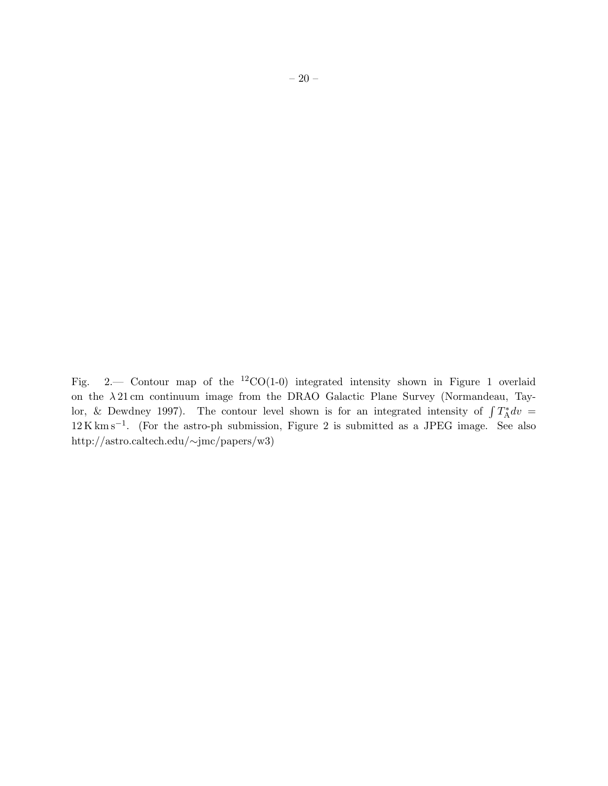Fig. 2.— Contour map of the <sup>12</sup>CO(1-0) integrated intensity shown in Figure 1 overlaid on the  $\lambda$  21 cm continuum image from the DRAO Galactic Plane Survey (Normandeau, Taylor, & Dewdney 1997). The contour level shown is for an integrated intensity of  $\int T_A^* dv =$ 12 K km s−<sup>1</sup> . (For the astro-ph submission, Figure 2 is submitted as a JPEG image. See also http://astro.caltech.edu/∼jmc/papers/w3)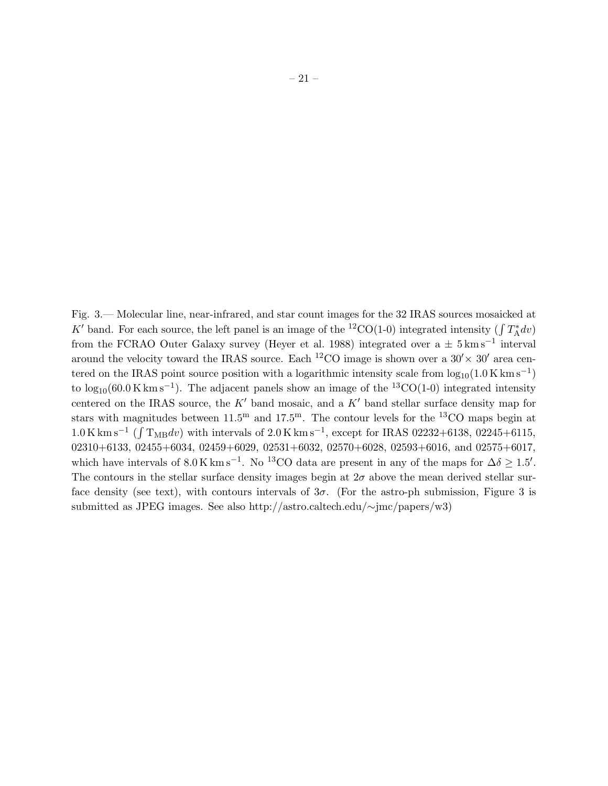Fig. 3.— Molecular line, near-infrared, and star count images for the 32 IRAS sources mosaicked at K' band. For each source, the left panel is an image of the <sup>12</sup>CO(1-0) integrated intensity ( $\int T_A^* dv$ ) from the FCRAO Outer Galaxy survey (Heyer et al. 1988) integrated over a  $\pm$  5 km s<sup>-1</sup> interval around the velocity toward the IRAS source. Each <sup>12</sup>CO image is shown over a  $30' \times 30'$  area centered on the IRAS point source position with a logarithmic intensity scale from  $log_{10}(1.0 \text{ K km s}^{-1})$ to  $\log_{10}(60.0 \text{ K km s}^{-1})$ . The adjacent panels show an image of the <sup>13</sup>CO(1-0) integrated intensity centered on the IRAS source, the  $K'$  band mosaic, and a  $K'$  band stellar surface density map for stars with magnitudes between  $11.5^{\text{m}}$  and  $17.5^{\text{m}}$ . The contour levels for the <sup>13</sup>CO maps begin at  $1.0 \,\mathrm{K\,km\,s^{-1}}$  ( $\int T_{\mathrm{MB}}dv$ ) with intervals of  $2.0 \,\mathrm{K\,km\,s^{-1}}$ , except for IRAS 02232+6138, 02245+6115, 02310+6133, 02455+6034, 02459+6029, 02531+6032, 02570+6028, 02593+6016, and 02575+6017, which have intervals of  $8.0 \text{ K km s}^{-1}$ . No <sup>13</sup>CO data are present in any of the maps for  $\Delta \delta \geq 1.5'$ . The contours in the stellar surface density images begin at  $2\sigma$  above the mean derived stellar surface density (see text), with contours intervals of  $3\sigma$ . (For the astro-ph submission, Figure 3 is submitted as JPEG images. See also http://astro.caltech.edu/∼jmc/papers/w3)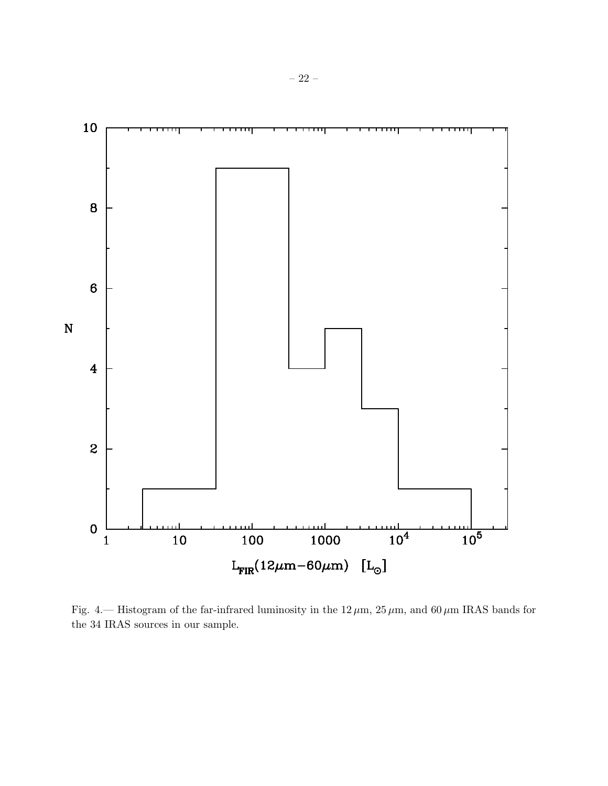

Fig. 4.— Histogram of the far-infrared luminosity in the  $12 \mu m$ ,  $25 \mu m$ , and  $60 \mu m$  IRAS bands for the 34 IRAS sources in our sample.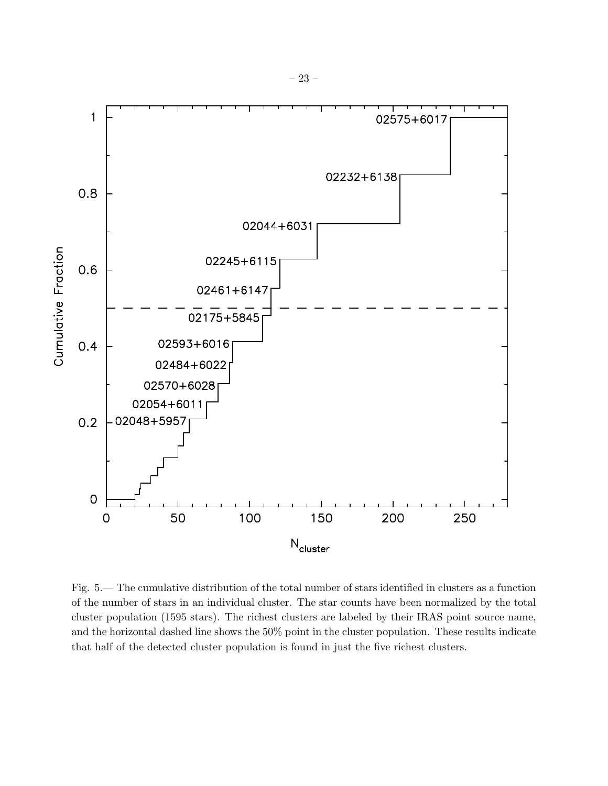

Fig. 5.— The cumulative distribution of the total number of stars identified in clusters as a function of the number of stars in an individual cluster. The star counts have been normalized by the total cluster population (1595 stars). The richest clusters are labeled by their IRAS point source name, and the horizontal dashed line shows the 50% point in the cluster population. These results indicate that half of the detected cluster population is found in just the five richest clusters.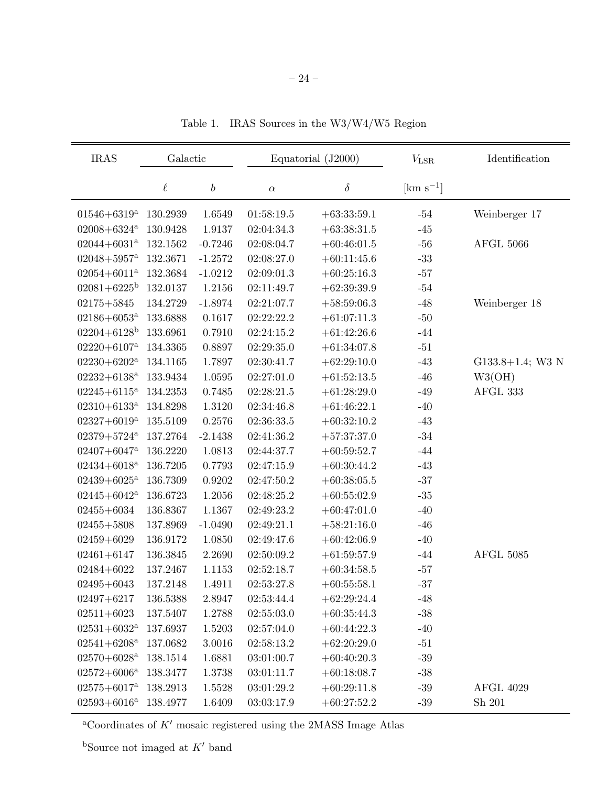| <b>IRAS</b>                 | Galactic |                  | Equatorial (J2000) |               | $V_{\rm LSR}$           | Identification      |
|-----------------------------|----------|------------------|--------------------|---------------|-------------------------|---------------------|
|                             | $\ell$   | $\boldsymbol{b}$ | $\alpha$           | $\delta$      | $\mathrm{[km\ s^{-1}]}$ |                     |
| $01546 + 6319^{\mathrm{a}}$ | 130.2939 | 1.6549           | 01:58:19.5         | $+63:33:59.1$ | $-54$                   | Weinberger 17       |
| $02008 + 6324$ <sup>a</sup> | 130.9428 | 1.9137           | 02:04:34.3         | $+63:38:31.5$ | $-45$                   |                     |
| $02044+6031^a$              | 132.1562 | $-0.7246$        | 02:08:04.7         | $+60:46:01.5$ | $-56$                   | <b>AFGL 5066</b>    |
| $02048 + 5957$ <sup>a</sup> | 132.3671 | $-1.2572$        | 02:08:27.0         | $+60:11:45.6$ | $-33$                   |                     |
| $02054 + 6011^a$            | 132.3684 | $-1.0212$        | 02:09:01.3         | $+60:25:16.3$ | $-57$                   |                     |
| $02081 + 6225^{\rm b}$      | 132.0137 | 1.2156           | 02:11:49.7         | $+62:39:39.9$ | $-54$                   |                     |
| $02175 + 5845$              | 134.2729 | $-1.8974$        | 02:21:07.7         | $+58:59:06.3$ | $-48$                   | Weinberger 18       |
| $02186 + 6053^a$            | 133.6888 | 0.1617           | 02:22:22.2         | $+61:07:11.3$ | $-50$                   |                     |
| $02204 + 6128$ <sup>b</sup> | 133.6961 | 0.7910           | 02:24:15.2         | $+61:42:26.6$ | $-44$                   |                     |
| $02220 + 6107$ <sup>a</sup> | 134.3365 | 0.8897           | 02:29:35.0         | $+61:34:07.8$ | $-51$                   |                     |
| $02230+6202^a$              | 134.1165 | 1.7897           | 02:30:41.7         | $+62:29:10.0$ | $-43$                   | $G133.8+1.4$ ; W3 N |
| $02232+6138^a$              | 133.9434 | 1.0595           | 02:27:01.0         | $+61:52:13.5$ | $-46$                   | W3(OH)              |
| $02245 + 6115^a$            | 134.2353 | 0.7485           | 02:28:21.5         | $+61:28:29.0$ | $-49$                   | AFGL 333            |
| $02310 + 6133$ <sup>a</sup> | 134.8298 | 1.3120           | 02:34:46.8         | $+61:46:22.1$ | $-40$                   |                     |
| $02327+6019^a$              | 135.5109 | 0.2576           | 02:36:33.5         | $+60:32:10.2$ | $-43$                   |                     |
| $02379 + 5724$ <sup>a</sup> | 137.2764 | $-2.1438$        | 02:41:36.2         | $+57:37:37.0$ | $-34$                   |                     |
| $02407 + 6047$ <sup>a</sup> | 136.2220 | 1.0813           | 02:44:37.7         | $+60:59:52.7$ | $-44$                   |                     |
| $02434 + 6018$ <sup>a</sup> | 136.7205 | 0.7793           | 02:47:15.9         | $+60:30:44.2$ | $-43$                   |                     |
| $02439 + 6025^{\mathrm{a}}$ | 136.7309 | 0.9202           | 02:47:50.2         | $+60:38:05.5$ | $-37$                   |                     |
| $02445 + 6042^a$            | 136.6723 | 1.2056           | 02:48:25.2         | $+60:55:02.9$ | $-35\,$                 |                     |
| $02455 + 6034$              | 136.8367 | 1.1367           | 02:49:23.2         | $+60:47:01.0$ | $-40$                   |                     |
| $02455 + 5808$              | 137.8969 | $-1.0490$        | 02:49:21.1         | $+58:21:16.0$ | $-46$                   |                     |
| $02459 + 6029$              | 136.9172 | 1.0850           | 02:49:47.6         | $+60:42:06.9$ | $-40$                   |                     |
| $02461 + 6147$              | 136.3845 | 2.2690           | 02:50:09.2         | $+61:59:57.9$ | $-44$                   | <b>AFGL 5085</b>    |
| $02484 + 6022$              | 137.2467 | 1.1153           | 02:52:18.7         | $+60:34:58.5$ | $-57$                   |                     |
| $02495 + 6043$              | 137.2148 | 1.4911           | 02:53:27.8         | $+60:55:58.1$ | $-37$                   |                     |
| $02497 + 6217$              | 136.5388 | 2.8947           | 02:53:44.4         | $+62:29:24.4$ | $-48$                   |                     |
| $02511 + 6023$              | 137.5407 | 1.2788           | 02:55:03.0         | $+60:35:44.3$ | $-38$                   |                     |
| $02531+6032^{\mathrm{a}}$   | 137.6937 | 1.5203           | 02:57:04.0         | $+60:44:22.3$ | $-40$                   |                     |
| $02541+6208^a$              | 137.0682 | 3.0016           | 02:58:13.2         | $+62:20:29.0$ | $-51$                   |                     |
| $02570+6028^{\mathrm{a}}$   | 138.1514 | 1.6881           | 03:01:00.7         | $+60:40:20.3$ | $-39$                   |                     |
| $02572+6006^{\mathrm{a}}$   | 138.3477 | 1.3738           | 03:01:11.7         | $+60:18:08.7$ | $-38$                   |                     |
| $02575 + 6017^a$            | 138.2913 | 1.5528           | 03:01:29.2         | $+60:29:11.8$ | $-39$                   | <b>AFGL 4029</b>    |
| $02593 + 6016^{\mathrm{a}}$ | 138.4977 | 1.6409           | 03:03:17.9         | $+60:27:52.2$ | $-39$                   | Sh 201              |

Table 1. IRAS Sources in the W3/W4/W5 Region

 $\rm ^{a}Coordinates$  of  $K'$  mosaic registered using the 2MASS Image Atlas

bSource not imaged at  $K^\prime$  band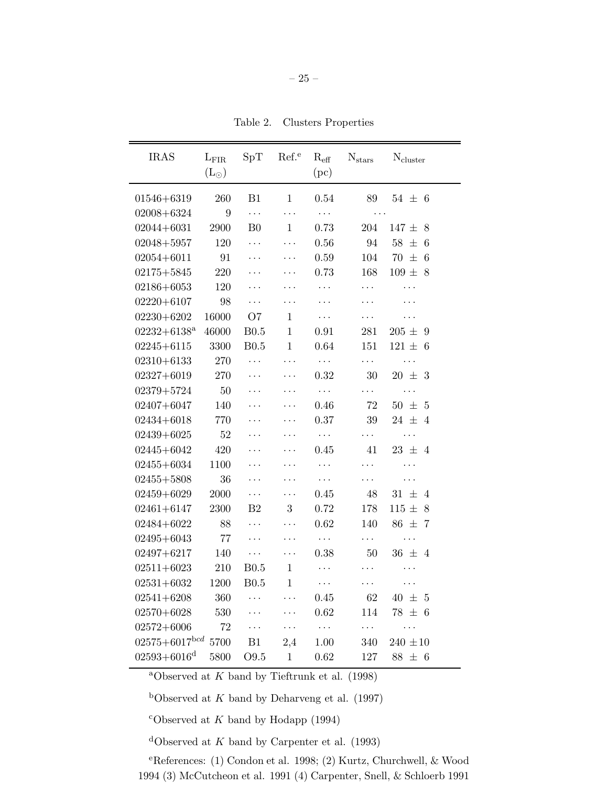| <b>IRAS</b>            | $L_{\rm FIR}$<br>$(L_{\odot})$ | SpT              | Ref. <sup>e</sup> | $\rm R_{eff}$<br>(pc) | $N_{stars}$ | $N_{cluster}$ |
|------------------------|--------------------------------|------------------|-------------------|-----------------------|-------------|---------------|
| $01546 + 6319$         | 260                            | B1               | $\mathbf{1}$      | 0.54                  | 89          | $54 \pm 6$    |
| $02008 + 6324$         | $9\,$                          | $\ddots$         | $\ldots$          | $\ldots$              | $\ddots$    |               |
| $02044 + 6031$         | 2900                           | B <sub>0</sub>   | $\mathbf{1}$      | 0.73                  | 204         | $147 \pm 8$   |
| $02048 + 5957$         | 120                            | .                | $\cdots$          | 0.56                  | 94          | $58 \pm 6$    |
| $02054 + 6011$         | 91                             | $\ddotsc$        | .                 | 0.59                  | 104         | 70 $\pm$<br>6 |
| $02175 + 5845$         | 220                            | $\cdots$         | $\ddotsc$         | 0.73                  | 168         | $109 \pm 8$   |
| $02186 + 6053$         | 120                            | .                | .                 | $\cdots$              | $\cdots$    | $\cdots$      |
| $02220 + 6107$         | 98                             | $\cdots$         | $\ddotsc$         | .                     | .           | .             |
| $02230 + 6202$         | 16000                          | O7               | $\mathbf{1}$      | $\cdots$              | .           | .             |
| $02232+6138^a$         | 46000                          | B <sub>0.5</sub> | $\mathbf{1}$      | 0.91                  | 281         | $205 \pm 9$   |
| $02245 + 6115$         | 3300                           | B0.5             | $\mathbf{1}$      | 0.64                  | 151         | $121 \pm 6$   |
| $02310 + 6133$         | 270                            | $\cdots$         | $\ddots$          | $\ldots$              | $\cdots$    | $\cdots$      |
| $02327 + 6019$         | 270                            | .                | $\ddots$          | 0.32                  | 30          | $20 \pm 3$    |
| $02379 + 5724$         | 50                             | $\cdots$         | $\ddotsc$         | $\ldots$ .            | $\cdots$    | $\cdots$      |
| $02407 + 6047$         | 140                            | $\cdots$         | .                 | 0.46                  | 72          | $50 \pm 5$    |
| $02434 + 6018$         | 770                            | $\cdots$         | $\ddots$          | 0.37                  | 39          | $24 \pm 4$    |
| $02439 + 6025$         | 52                             |                  | $\ddotsc$         | $\ldots$ .            | $\cdots$    | $\ldots$ .    |
| $02445 + 6042$         | 420                            | $\ddotsc$        | $\cdots$          | 0.45                  | 41          | $23 \pm 4$    |
| $02455 + 6034$         | 1100                           | $\cdots$         | .                 | $\cdots$              | .           | .             |
| $02455 + 5808$         | 36                             | $\cdots$         | $\cdots$          | $\ddotsc$             | $\cdots$    | .             |
| $02459 + 6029$         | 2000                           | $\cdots$         | $\ddots$          | 0.45                  | 48          | $31 \pm 4$    |
| $02461 + 6147$         | 2300                           | B <sub>2</sub>   | 3                 | 0.72                  | 178         | $115 \pm 8$   |
| $02484 + 6022$         | 88                             | $\cdots$         | $\cdots$          | 0.62                  | 140         | $86 \pm 7$    |
| $02495 + 6043$         | 77                             | .                | $\cdots$          | $\cdots$              | $\ldots$ .  | .             |
| $02497 + 6217$         | 140                            | $\cdots$         | $\cdots$          | 0.38                  | 50          | $36 \pm 4$    |
| $02511 + 6023$         | 210                            | <b>B0.5</b>      | $\mathbf{1}$      | $\ddotsc$             | $\cdots$    | .             |
| $02531 + 6032$         | 1200                           | B0.5             | 1                 | $\cdots$              | $\cdots$    | .             |
| $02541 + 6208$         | 360                            |                  | .                 | 0.45                  | 62          | $40 \pm 5$    |
| $02570 + 6028$         | 530                            |                  | .                 | 0.62                  | 114         | $78 \pm 6$    |
| $02572 + 6006$         | 72                             | $\cdots$         | .                 | $\cdots$              | $\cdots$    | .             |
| $02575+6017^{bcd}$     | 5700                           | B1               | 2,4               | 1.00                  | 340         | $240 \pm 10$  |
| $02593 + 6016^{\rm d}$ | 5800                           | O9.5             | $\mathbf 1$       | 0.62                  | 127         | $88 \pm 6$    |

<sup>a</sup>Observed at  $K$  band by Tieftrunk et al. (1998)

<sup>b</sup>Observed at K band by Deharveng et al. (1997)

 $c$ Observed at K band by Hodapp (1994)

<sup>d</sup>Observed at K band by Carpenter et al. (1993)

<sup>e</sup>References: (1) Condon et al. 1998; (2) Kurtz, Churchwell, & Wood 1994 (3) McCutcheon et al. 1991 (4) Carpenter, Snell, & Schloerb 1991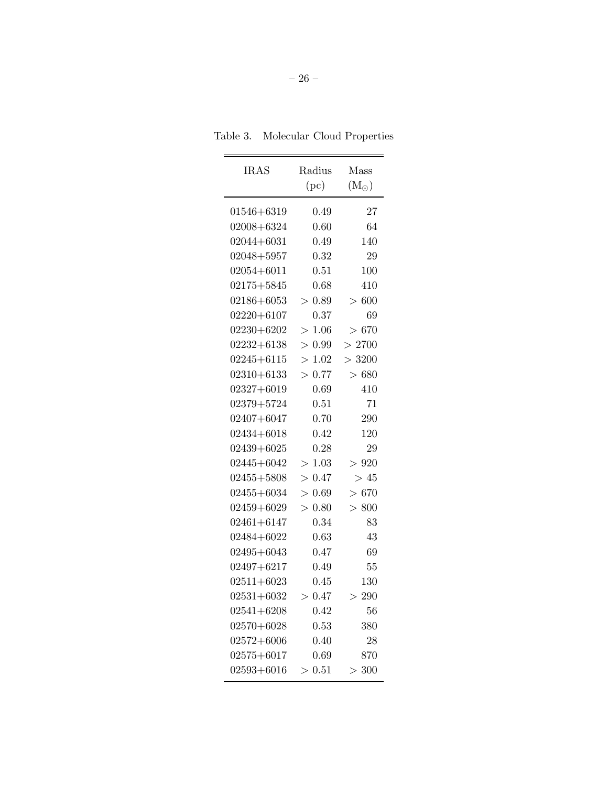| Table 3. | Molecular Cloud Properties |  |  |  |
|----------|----------------------------|--|--|--|
|----------|----------------------------|--|--|--|

| <b>IRAS</b>    | Radius    | Mass              |
|----------------|-----------|-------------------|
|                | (pc)      | $\rm (M_{\odot})$ |
| $01546 + 6319$ | 0.49      | 27                |
| $02008 + 6324$ | 0.60      | 64                |
| $02044 + 6031$ | 0.49      | 140               |
| $02048 + 5957$ | 0.32      | 29                |
| $02054 + 6011$ | 0.51      | 100               |
| $02175 + 5845$ | 0.68      | 410               |
| $02186 + 6053$ | 0.89<br>> | > 600             |
| $02220 + 6107$ | 0.37      | 69                |
| $02230 + 6202$ | > 1.06    | > 670             |
| $02232 + 6138$ | > 0.99    | >2700             |
| $02245 + 6115$ | >1.02     | > 3200            |
| $02310 + 6133$ | > 0.77    | > 680             |
| $02327 + 6019$ | 0.69      | 410               |
| $02379 + 5724$ | 0.51      | 71                |
| $02407 + 6047$ | 0.70      | 290               |
| $02434 + 6018$ | 0.42      | 120               |
| $02439 + 6025$ | 0.28      | 29                |
| $02445 + 6042$ | >1.03     | > 920             |
| $02455 + 5808$ | > 0.47    | >45               |
| $02455 + 6034$ | > 0.69    | > 670             |
| $02459 + 6029$ | > 0.80    | > 800             |
| $02461 + 6147$ | 0.34      | 83                |
| $02484 + 6022$ | 0.63      | 43                |
| $02495 + 6043$ | 0.47      | 69                |
| $02497 + 6217$ | 0.49      | 55                |
| $02511 + 6023$ | 0.45      | 130               |
| $02531 + 6032$ | 0.47<br>> | 290<br>>          |
| $02541 + 6208$ | 0.42      | 56                |
| $02570 + 6028$ | 0.53      | 380               |
| $02572 + 6006$ | 0.40      | 28                |
| $02575 + 6017$ | 0.69      | 870               |
| $02593 + 6016$ | >0.51     | > 300             |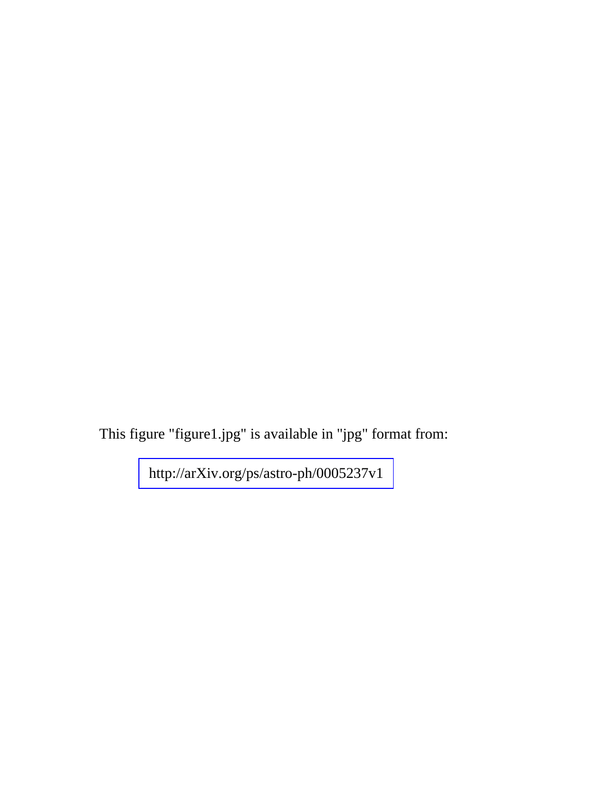This figure "figure1.jpg" is available in "jpg" format from: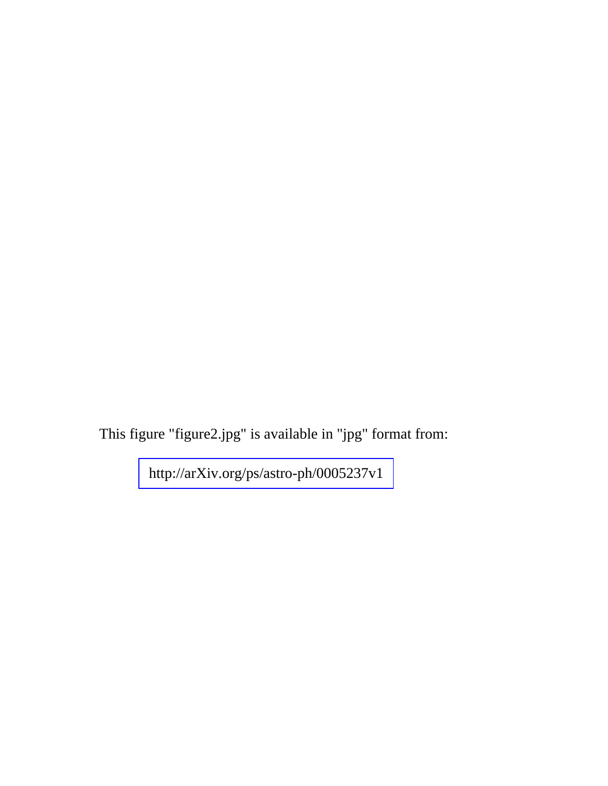This figure "figure2.jpg" is available in "jpg" format from: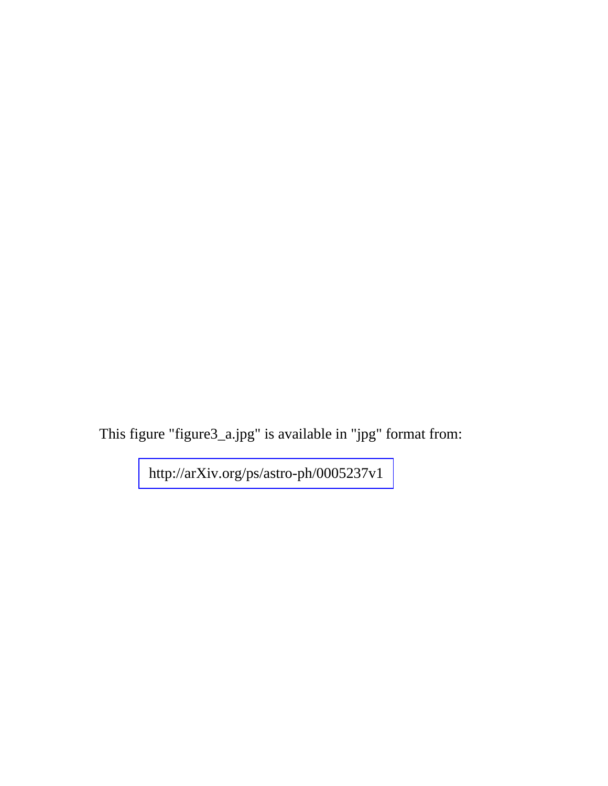This figure "figure3\_a.jpg" is available in "jpg" format from: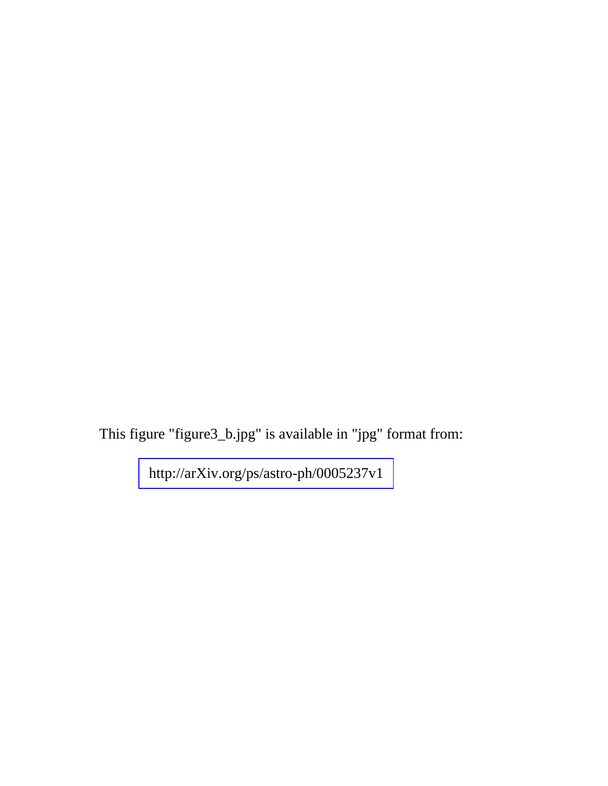This figure "figure3\_b.jpg" is available in "jpg" format from: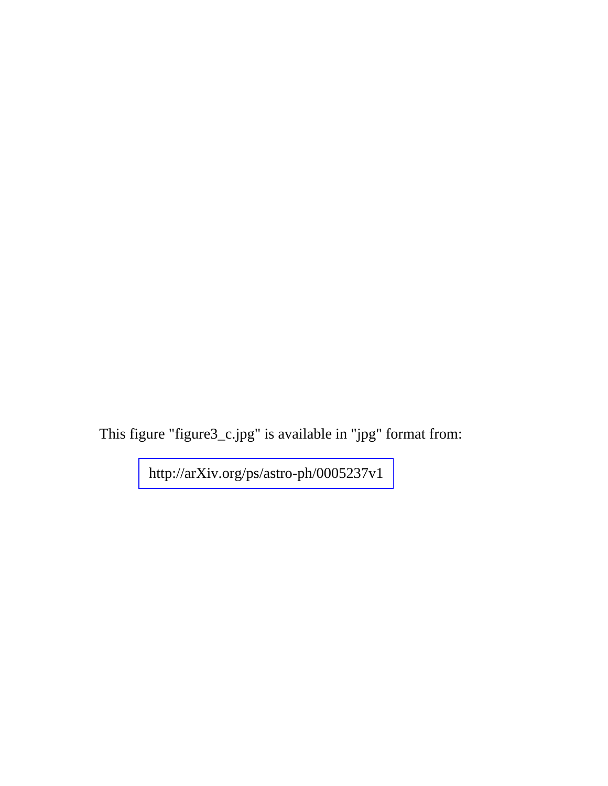This figure "figure3\_c.jpg" is available in "jpg" format from: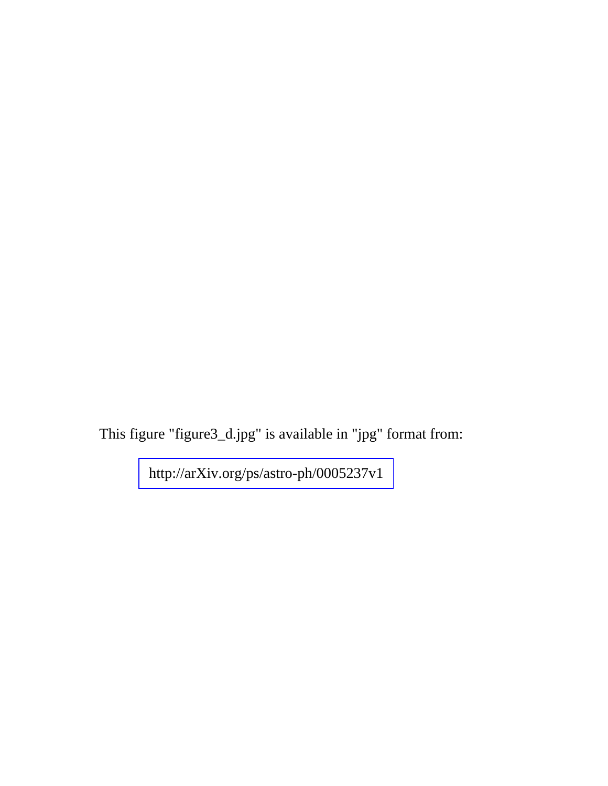This figure "figure3\_d.jpg" is available in "jpg" format from: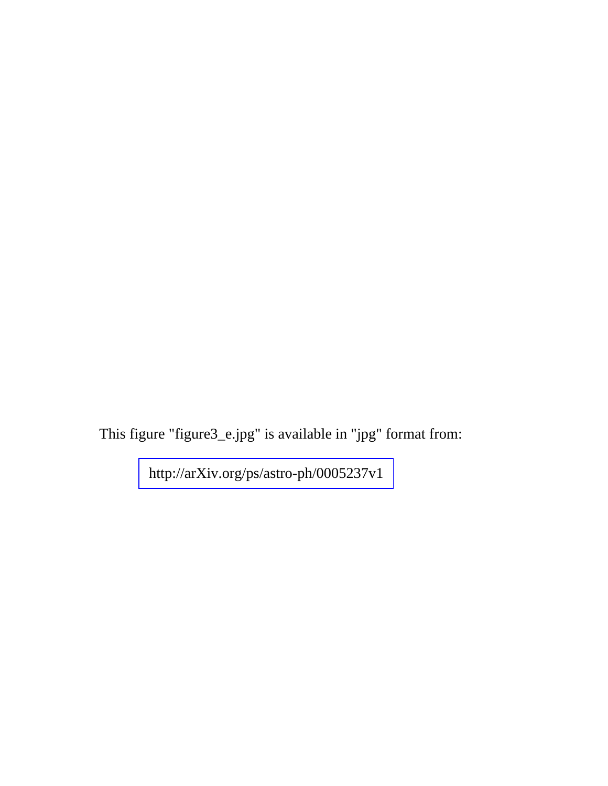This figure "figure3\_e.jpg" is available in "jpg" format from: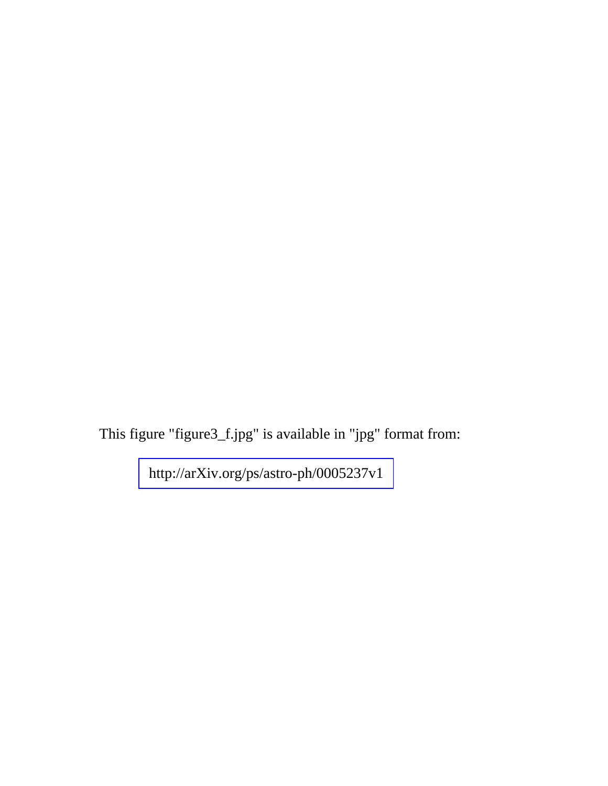This figure "figure3\_f.jpg" is available in "jpg" format from: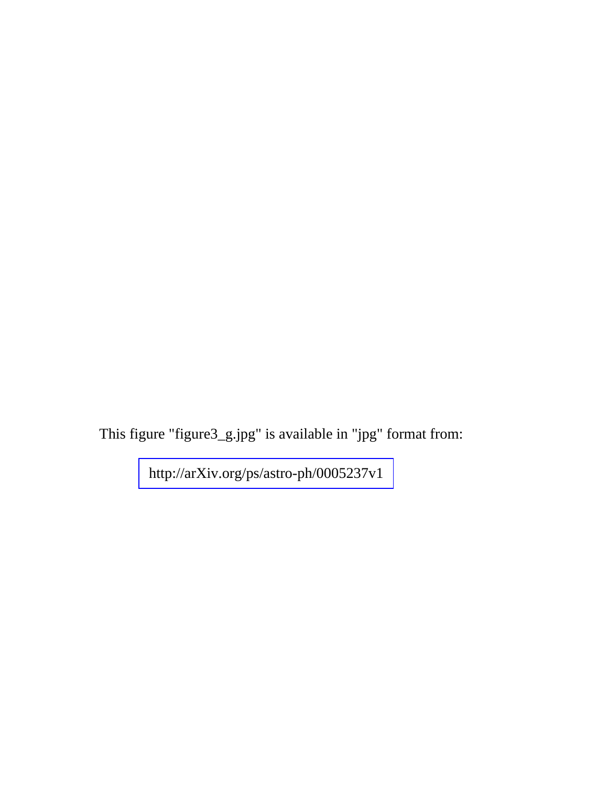This figure "figure3\_g.jpg" is available in "jpg" format from: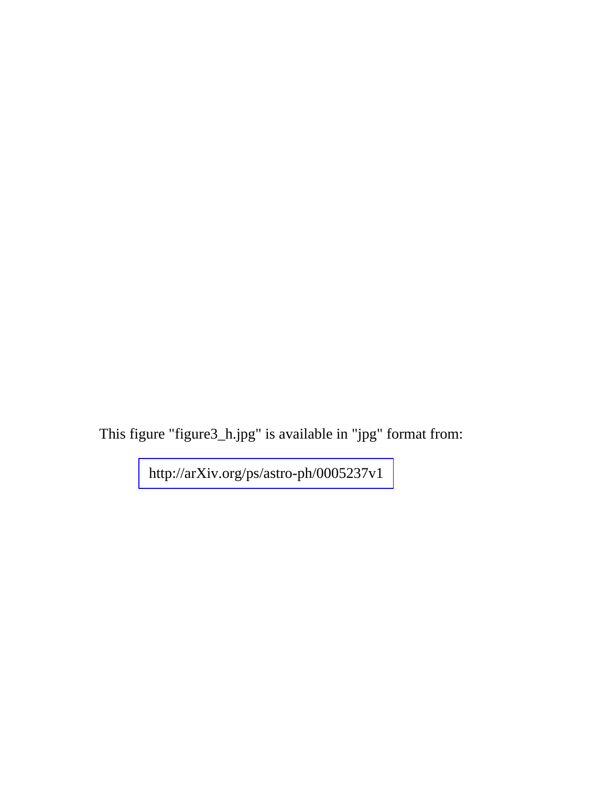This figure "figure3\_h.jpg" is available in "jpg" format from: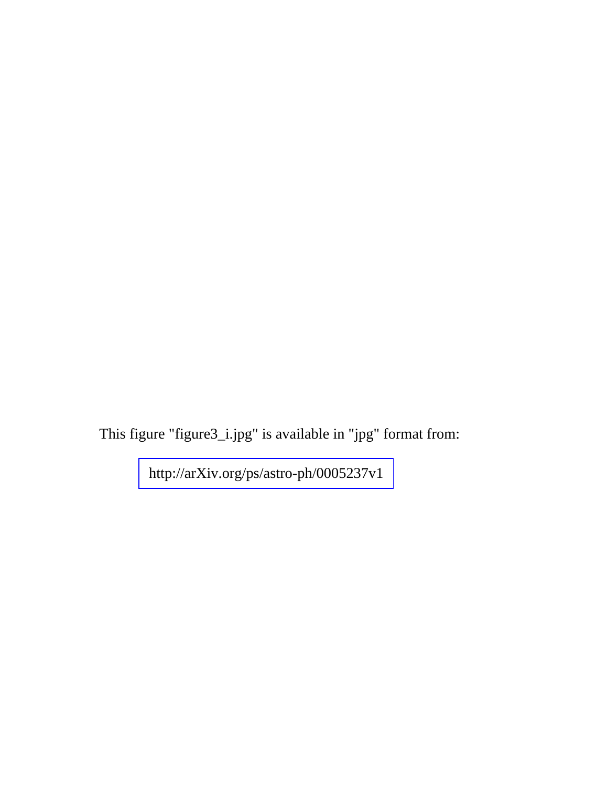This figure "figure3\_i.jpg" is available in "jpg" format from: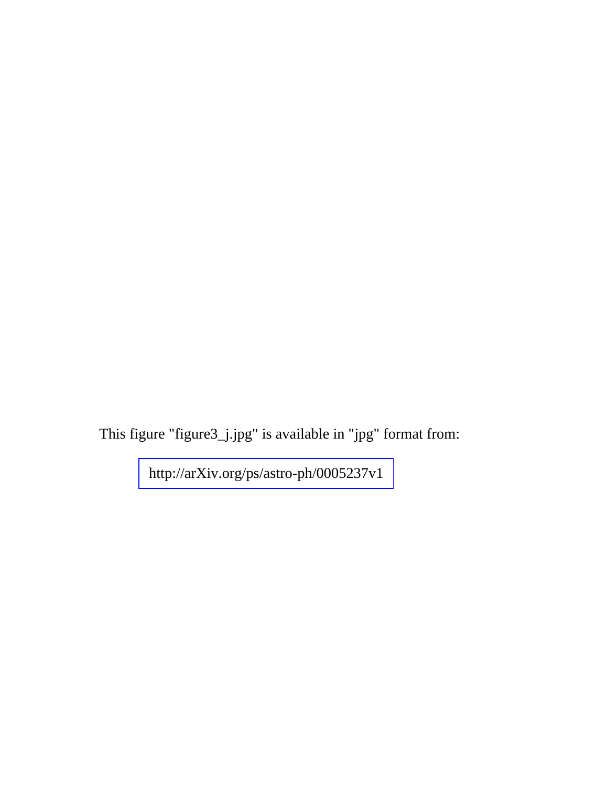This figure "figure3\_j.jpg" is available in "jpg" format from: